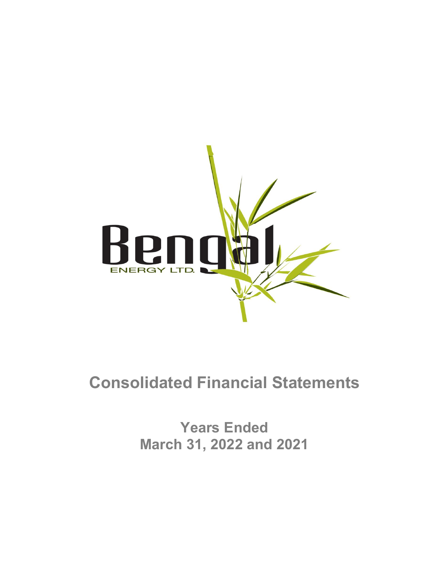

# **Consolidated Financial Statements**

**Years Ended March 31, 2022 and 2021**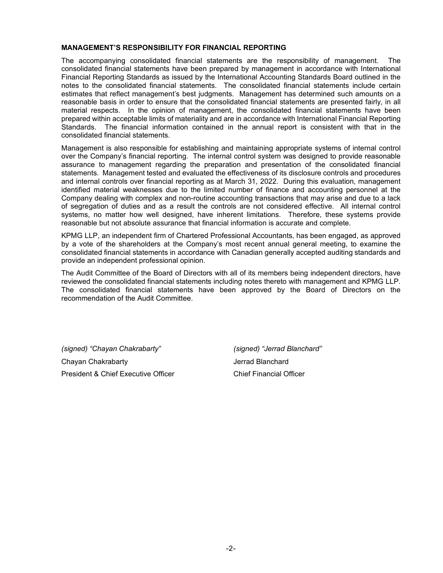## **MANAGEMENT'S RESPONSIBILITY FOR FINANCIAL REPORTING**

The accompanying consolidated financial statements are the responsibility of management. The consolidated financial statements have been prepared by management in accordance with International Financial Reporting Standards as issued by the International Accounting Standards Board outlined in the notes to the consolidated financial statements. The consolidated financial statements include certain estimates that reflect management's best judgments. Management has determined such amounts on a reasonable basis in order to ensure that the consolidated financial statements are presented fairly, in all material respects. In the opinion of management, the consolidated financial statements have been prepared within acceptable limits of materiality and are in accordance with International Financial Reporting Standards. The financial information contained in the annual report is consistent with that in the consolidated financial statements.

Management is also responsible for establishing and maintaining appropriate systems of internal control over the Company's financial reporting. The internal control system was designed to provide reasonable assurance to management regarding the preparation and presentation of the consolidated financial statements. Management tested and evaluated the effectiveness of its disclosure controls and procedures and internal controls over financial reporting as at March 31, 2022. During this evaluation, management identified material weaknesses due to the limited number of finance and accounting personnel at the Company dealing with complex and non-routine accounting transactions that may arise and due to a lack of segregation of duties and as a result the controls are not considered effective. All internal control systems, no matter how well designed, have inherent limitations. Therefore, these systems provide reasonable but not absolute assurance that financial information is accurate and complete.

KPMG LLP, an independent firm of Chartered Professional Accountants, has been engaged, as approved by a vote of the shareholders at the Company's most recent annual general meeting, to examine the consolidated financial statements in accordance with Canadian generally accepted auditing standards and provide an independent professional opinion.

The Audit Committee of the Board of Directors with all of its members being independent directors, have reviewed the consolidated financial statements including notes thereto with management and KPMG LLP. The consolidated financial statements have been approved by the Board of Directors on the recommendation of the Audit Committee.

*(signed) "Chayan Chakrabarty" (signed) "Jerrad Blanchard"* Chayan Chakrabarty Jerrad Blanchard President & Chief Executive Officer Chief Financial Officer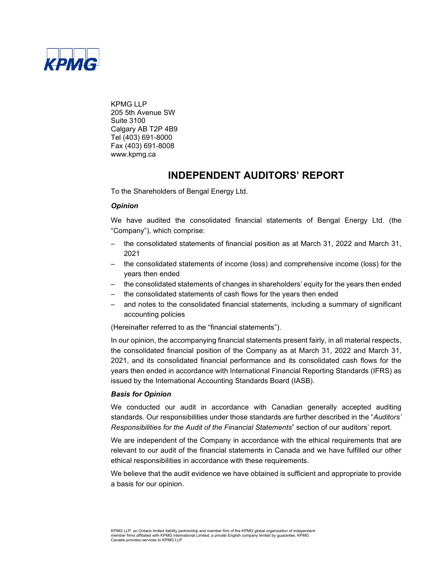

KPMG LLP 205 5th Avenue SW Suite 3100 Calgary AB T2P 4B9 Tel (403) 691-8000 Fax (403) 691-8008 www.kpmg.ca

## **INDEPENDENT AUDITORS' REPORT**

To the Shareholders of Bengal Energy Ltd.

## *Opinion*

We have audited the consolidated financial statements of Bengal Energy Ltd. (the "Company"), which comprise:

- the consolidated statements of financial position as at March 31, 2022 and March 31, 2021
- the consolidated statements of income (loss) and comprehensive income (loss) for the years then ended
- the consolidated statements of changes in shareholders' equity for the years then ended
- the consolidated statements of cash flows for the years then ended
- and notes to the consolidated financial statements, including a summary of significant accounting policies

(Hereinafter referred to as the "financial statements").

In our opinion, the accompanying financial statements present fairly, in all material respects, the consolidated financial position of the Company as at March 31, 2022 and March 31, 2021, and its consolidated financial performance and its consolidated cash flows for the years then ended in accordance with International Financial Reporting Standards (IFRS) as issued by the International Accounting Standards Board (IASB).

## *Basis for Opinion*

We conducted our audit in accordance with Canadian generally accepted auditing standards. Our responsibilities under those standards are further described in the "*Auditors' Responsibilities for the Audit of the Financial Statements*" section of our auditors' report.

We are independent of the Company in accordance with the ethical requirements that are relevant to our audit of the financial statements in Canada and we have fulfilled our other ethical responsibilities in accordance with these requirements.

We believe that the audit evidence we have obtained is sufficient and appropriate to provide a basis for our opinion.

KPMG LLP, an Ontario limited liability partnership and member firm of the KPMG global organization of independent member firms affiliated with KPMG International Limited, a private English company limited by guarantee. KPMG Canada provides services to KPMG LLP.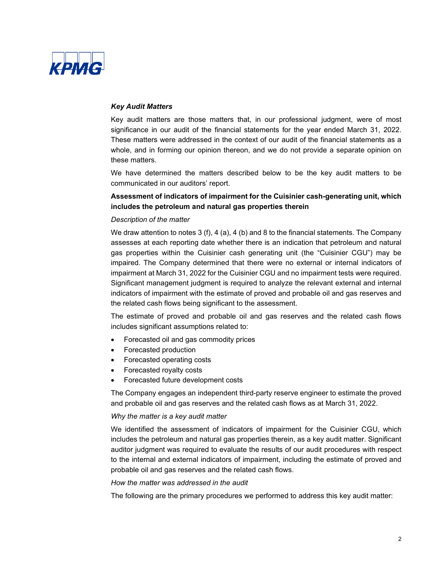

#### *Key Audit Matters*

Key audit matters are those matters that, in our professional judgment, were of most significance in our audit of the financial statements for the year ended March 31, 2022. These matters were addressed in the context of our audit of the financial statements as a whole, and in forming our opinion thereon, and we do not provide a separate opinion on these matters.

We have determined the matters described below to be the key audit matters to be communicated in our auditors' report.

## **Assessment of indicators of impairment for the Cuisinier cash-generating unit, which includes the petroleum and natural gas properties therein**

#### *Description of the matter*

We draw attention to notes 3 (f), 4 (a), 4 (b) and 8 to the financial statements. The Company assesses at each reporting date whether there is an indication that petroleum and natural gas properties within the Cuisinier cash generating unit (the "Cuisinier CGU") may be impaired. The Company determined that there were no external or internal indicators of impairment at March 31, 2022 for the Cuisinier CGU and no impairment tests were required. Significant management judgment is required to analyze the relevant external and internal indicators of impairment with the estimate of proved and probable oil and gas reserves and the related cash flows being significant to the assessment.

The estimate of proved and probable oil and gas reserves and the related cash flows includes significant assumptions related to:

- Forecasted oil and gas commodity prices
- Forecasted production
- Forecasted operating costs
- Forecasted royalty costs
- Forecasted future development costs

The Company engages an independent third-party reserve engineer to estimate the proved and probable oil and gas reserves and the related cash flows as at March 31, 2022.

#### *Why the matter is a key audit matter*

We identified the assessment of indicators of impairment for the Cuisinier CGU, which includes the petroleum and natural gas properties therein, as a key audit matter. Significant auditor judgment was required to evaluate the results of our audit procedures with respect to the internal and external indicators of impairment, including the estimate of proved and probable oil and gas reserves and the related cash flows.

## *How the matter was addressed in the audit*

The following are the primary procedures we performed to address this key audit matter: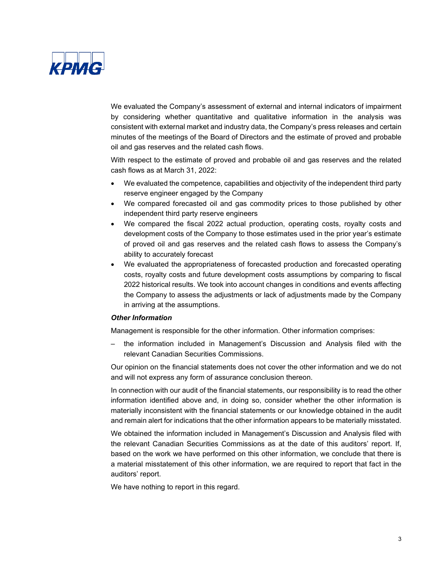

We evaluated the Company's assessment of external and internal indicators of impairment by considering whether quantitative and qualitative information in the analysis was consistent with external market and industry data, the Company's press releases and certain minutes of the meetings of the Board of Directors and the estimate of proved and probable oil and gas reserves and the related cash flows.

With respect to the estimate of proved and probable oil and gas reserves and the related cash flows as at March 31, 2022:

- We evaluated the competence, capabilities and objectivity of the independent third party reserve engineer engaged by the Company
- We compared forecasted oil and gas commodity prices to those published by other independent third party reserve engineers
- We compared the fiscal 2022 actual production, operating costs, royalty costs and development costs of the Company to those estimates used in the prior year's estimate of proved oil and gas reserves and the related cash flows to assess the Company's ability to accurately forecast
- We evaluated the appropriateness of forecasted production and forecasted operating costs, royalty costs and future development costs assumptions by comparing to fiscal 2022 historical results. We took into account changes in conditions and events affecting the Company to assess the adjustments or lack of adjustments made by the Company in arriving at the assumptions.

## *Other Information*

Management is responsible for the other information. Other information comprises:

– the information included in Management's Discussion and Analysis filed with the relevant Canadian Securities Commissions.

Our opinion on the financial statements does not cover the other information and we do not and will not express any form of assurance conclusion thereon.

In connection with our audit of the financial statements, our responsibility is to read the other information identified above and, in doing so, consider whether the other information is materially inconsistent with the financial statements or our knowledge obtained in the audit and remain alert for indications that the other information appears to be materially misstated.

We obtained the information included in Management's Discussion and Analysis filed with the relevant Canadian Securities Commissions as at the date of this auditors' report. If, based on the work we have performed on this other information, we conclude that there is a material misstatement of this other information, we are required to report that fact in the auditors' report.

We have nothing to report in this regard.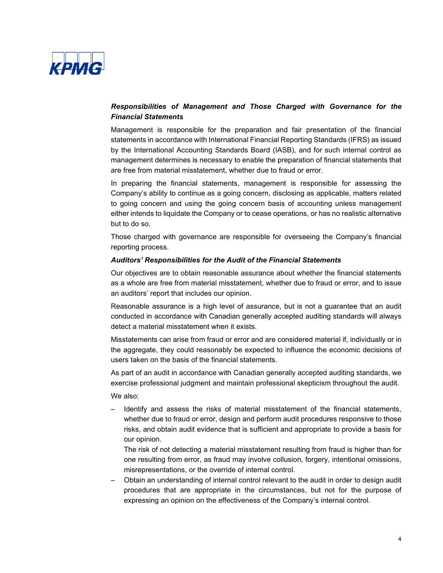

## *Responsibilities of Management and Those Charged with Governance for the Financial Statements*

Management is responsible for the preparation and fair presentation of the financial statements in accordance with International Financial Reporting Standards (IFRS) as issued by the International Accounting Standards Board (IASB), and for such internal control as management determines is necessary to enable the preparation of financial statements that are free from material misstatement, whether due to fraud or error.

In preparing the financial statements, management is responsible for assessing the Company's ability to continue as a going concern, disclosing as applicable, matters related to going concern and using the going concern basis of accounting unless management either intends to liquidate the Company or to cease operations, or has no realistic alternative but to do so.

Those charged with governance are responsible for overseeing the Company's financial reporting process.

#### *Auditors' Responsibilities for the Audit of the Financial Statements*

Our objectives are to obtain reasonable assurance about whether the financial statements as a whole are free from material misstatement, whether due to fraud or error, and to issue an auditors' report that includes our opinion.

Reasonable assurance is a high level of assurance, but is not a guarantee that an audit conducted in accordance with Canadian generally accepted auditing standards will always detect a material misstatement when it exists.

Misstatements can arise from fraud or error and are considered material if, individually or in the aggregate, they could reasonably be expected to influence the economic decisions of users taken on the basis of the financial statements.

As part of an audit in accordance with Canadian generally accepted auditing standards, we exercise professional judgment and maintain professional skepticism throughout the audit.

We also:

– Identify and assess the risks of material misstatement of the financial statements, whether due to fraud or error, design and perform audit procedures responsive to those risks, and obtain audit evidence that is sufficient and appropriate to provide a basis for our opinion.

The risk of not detecting a material misstatement resulting from fraud is higher than for one resulting from error, as fraud may involve collusion, forgery, intentional omissions, misrepresentations, or the override of internal control.

– Obtain an understanding of internal control relevant to the audit in order to design audit procedures that are appropriate in the circumstances, but not for the purpose of expressing an opinion on the effectiveness of the Company's internal control.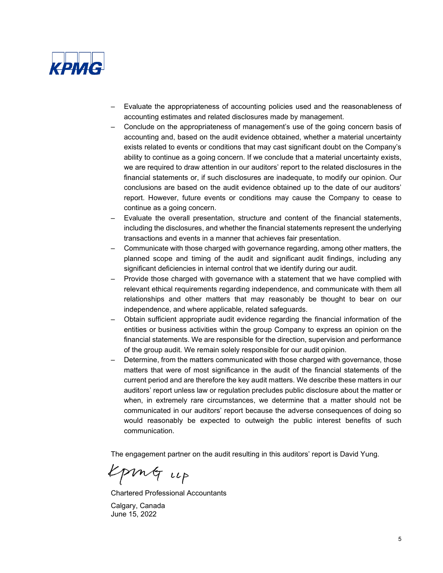

- Evaluate the appropriateness of accounting policies used and the reasonableness of accounting estimates and related disclosures made by management.
- Conclude on the appropriateness of management's use of the going concern basis of accounting and, based on the audit evidence obtained, whether a material uncertainty exists related to events or conditions that may cast significant doubt on the Company's ability to continue as a going concern. If we conclude that a material uncertainty exists, we are required to draw attention in our auditors' report to the related disclosures in the financial statements or, if such disclosures are inadequate, to modify our opinion. Our conclusions are based on the audit evidence obtained up to the date of our auditors' report. However, future events or conditions may cause the Company to cease to continue as a going concern.
- Evaluate the overall presentation, structure and content of the financial statements, including the disclosures, and whether the financial statements represent the underlying transactions and events in a manner that achieves fair presentation.
- Communicate with those charged with governance regarding, among other matters, the planned scope and timing of the audit and significant audit findings, including any significant deficiencies in internal control that we identify during our audit.
- Provide those charged with governance with a statement that we have complied with relevant ethical requirements regarding independence, and communicate with them all relationships and other matters that may reasonably be thought to bear on our independence, and where applicable, related safeguards.
- Obtain sufficient appropriate audit evidence regarding the financial information of the entities or business activities within the group Company to express an opinion on the financial statements. We are responsible for the direction, supervision and performance of the group audit. We remain solely responsible for our audit opinion.
- Determine, from the matters communicated with those charged with governance, those matters that were of most significance in the audit of the financial statements of the current period and are therefore the key audit matters. We describe these matters in our auditors' report unless law or regulation precludes public disclosure about the matter or when, in extremely rare circumstances, we determine that a matter should not be communicated in our auditors' report because the adverse consequences of doing so would reasonably be expected to outweigh the public interest benefits of such communication.

The engagement partner on the audit resulting in this auditors' report is David Yung.

KpmG up

Chartered Professional Accountants

Calgary, Canada June 15, 2022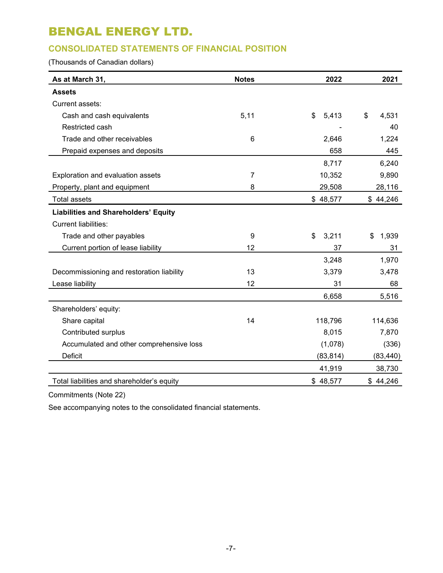## **CONSOLIDATED STATEMENTS OF FINANCIAL POSITION**

(Thousands of Canadian dollars)

| As at March 31,                             | <b>Notes</b>   | 2022        | 2021        |
|---------------------------------------------|----------------|-------------|-------------|
| <b>Assets</b>                               |                |             |             |
| Current assets:                             |                |             |             |
| Cash and cash equivalents                   | 5,11           | \$<br>5,413 | \$<br>4,531 |
| Restricted cash                             |                |             | 40          |
| Trade and other receivables                 | 6              | 2,646       | 1,224       |
| Prepaid expenses and deposits               |                | 658         | 445         |
|                                             |                | 8,717       | 6,240       |
| Exploration and evaluation assets           | $\overline{7}$ | 10,352      | 9,890       |
| Property, plant and equipment               | 8              | 29,508      | 28,116      |
| <b>Total assets</b>                         |                | \$48,577    | \$44,246    |
| <b>Liabilities and Shareholders' Equity</b> |                |             |             |
| <b>Current liabilities:</b>                 |                |             |             |
| Trade and other payables                    | 9              | \$<br>3,211 | 1,939<br>\$ |
| Current portion of lease liability          | 12             | 37          | 31          |
|                                             |                | 3,248       | 1,970       |
| Decommissioning and restoration liability   | 13             | 3,379       | 3,478       |
| Lease liability                             | 12             | 31          | 68          |
|                                             |                | 6,658       | 5,516       |
| Shareholders' equity:                       |                |             |             |
| Share capital                               | 14             | 118,796     | 114,636     |
| Contributed surplus                         |                | 8,015       | 7,870       |
| Accumulated and other comprehensive loss    |                | (1,078)     | (336)       |
| <b>Deficit</b>                              |                | (83, 814)   | (83, 440)   |
|                                             |                | 41,919      | 38,730      |
| Total liabilities and shareholder's equity  |                | \$48,577    | \$44,246    |

Commitments (Note 22)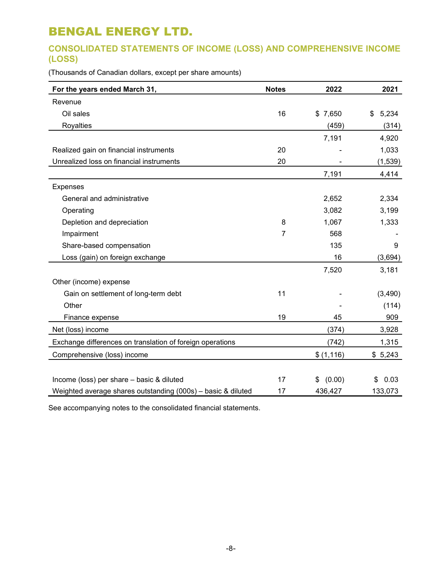## **CONSOLIDATED STATEMENTS OF INCOME (LOSS) AND COMPREHENSIVE INCOME (LOSS)**

(Thousands of Canadian dollars, except per share amounts)

| For the years ended March 31,                                | <b>Notes</b>   | 2022         | 2021        |
|--------------------------------------------------------------|----------------|--------------|-------------|
| Revenue                                                      |                |              |             |
| Oil sales                                                    | 16             | \$7,650      | 5,234<br>\$ |
| Royalties                                                    |                | (459)        | (314)       |
|                                                              |                | 7,191        | 4,920       |
| Realized gain on financial instruments                       | 20             |              | 1,033       |
| Unrealized loss on financial instruments                     | 20             |              | (1,539)     |
|                                                              |                | 7,191        | 4,414       |
| <b>Expenses</b>                                              |                |              |             |
| General and administrative                                   |                | 2,652        | 2,334       |
| Operating                                                    |                | 3,082        | 3,199       |
| Depletion and depreciation                                   | 8              | 1,067        | 1,333       |
| Impairment                                                   | $\overline{7}$ | 568          |             |
| Share-based compensation                                     |                | 135          | 9           |
| Loss (gain) on foreign exchange                              |                | 16           | (3,694)     |
|                                                              |                | 7,520        | 3,181       |
| Other (income) expense                                       |                |              |             |
| Gain on settlement of long-term debt                         | 11             |              | (3,490)     |
| Other                                                        |                |              | (114)       |
| Finance expense                                              | 19             | 45           | 909         |
| Net (loss) income                                            |                | (374)        | 3,928       |
| Exchange differences on translation of foreign operations    |                | (742)        | 1,315       |
| Comprehensive (loss) income                                  |                | \$(1, 116)   | \$5,243     |
|                                                              |                |              |             |
| Income (loss) per share - basic & diluted                    | 17             | (0.00)<br>\$ | \$<br>0.03  |
| Weighted average shares outstanding (000s) - basic & diluted | 17             | 436,427      | 133,073     |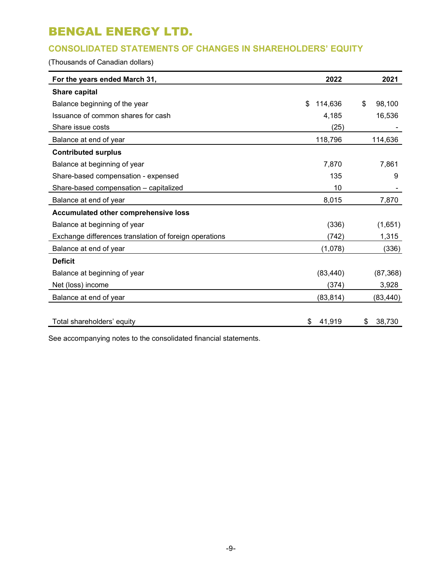## **CONSOLIDATED STATEMENTS OF CHANGES IN SHAREHOLDERS' EQUITY**

(Thousands of Canadian dollars)

| For the years ended March 31,                          | 2022          | 2021          |
|--------------------------------------------------------|---------------|---------------|
| Share capital                                          |               |               |
| Balance beginning of the year                          | \$<br>114,636 | \$<br>98,100  |
| Issuance of common shares for cash                     | 4,185         | 16,536        |
| Share issue costs                                      | (25)          |               |
| Balance at end of year                                 | 118,796       | 114,636       |
| <b>Contributed surplus</b>                             |               |               |
| Balance at beginning of year                           | 7,870         | 7,861         |
| Share-based compensation - expensed                    | 135           | 9             |
| Share-based compensation - capitalized                 | 10            |               |
| Balance at end of year                                 | 8,015         | 7,870         |
| Accumulated other comprehensive loss                   |               |               |
| Balance at beginning of year                           | (336)         | (1,651)       |
| Exchange differences translation of foreign operations | (742)         | 1,315         |
| Balance at end of year                                 | (1,078)       | (336)         |
| <b>Deficit</b>                                         |               |               |
| Balance at beginning of year                           | (83, 440)     | (87, 368)     |
| Net (loss) income                                      | (374)         | 3,928         |
| Balance at end of year                                 | (83, 814)     | (83, 440)     |
|                                                        |               |               |
| Total shareholders' equity                             | \$<br>41,919  | 38,730<br>\$. |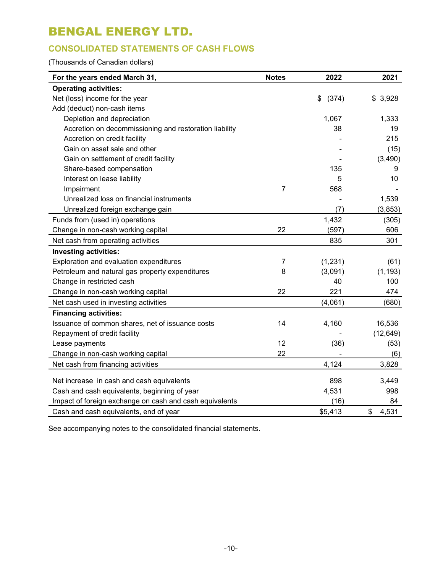## **CONSOLIDATED STATEMENTS OF CASH FLOWS**

(Thousands of Canadian dollars)

| For the years ended March 31,                           | <b>Notes</b>   | 2022        | 2021        |
|---------------------------------------------------------|----------------|-------------|-------------|
| <b>Operating activities:</b>                            |                |             |             |
| Net (loss) income for the year                          |                | (374)<br>\$ | \$3,928     |
| Add (deduct) non-cash items                             |                |             |             |
| Depletion and depreciation                              |                | 1,067       | 1,333       |
| Accretion on decommissioning and restoration liability  |                | 38          | 19          |
| Accretion on credit facility                            |                |             | 215         |
| Gain on asset sale and other                            |                |             | (15)        |
| Gain on settlement of credit facility                   |                |             | (3,490)     |
| Share-based compensation                                |                | 135         | 9           |
| Interest on lease liability                             |                | 5           | 10          |
| Impairment                                              | $\overline{7}$ | 568         |             |
| Unrealized loss on financial instruments                |                |             | 1,539       |
| Unrealized foreign exchange gain                        |                | (7)         | (3, 853)    |
| Funds from (used in) operations                         |                | 1,432       | (305)       |
| Change in non-cash working capital                      | 22             | (597)       | 606         |
| Net cash from operating activities                      |                | 835         | 301         |
| <b>Investing activities:</b>                            |                |             |             |
| Exploration and evaluation expenditures                 | $\overline{7}$ | (1,231)     | (61)        |
| Petroleum and natural gas property expenditures         | 8              | (3,091)     | (1, 193)    |
| Change in restricted cash                               |                | 40          | 100         |
| Change in non-cash working capital                      | 22             | 221         | 474         |
| Net cash used in investing activities                   |                | (4,061)     | (680)       |
| <b>Financing activities:</b>                            |                |             |             |
| Issuance of common shares, net of issuance costs        | 14             | 4,160       | 16,536      |
| Repayment of credit facility                            |                |             | (12, 649)   |
| Lease payments                                          | 12             | (36)        | (53)        |
| Change in non-cash working capital                      | 22             |             | (6)         |
| Net cash from financing activities                      |                | 4,124       | 3,828       |
| Net increase in cash and cash equivalents               |                | 898         | 3,449       |
| Cash and cash equivalents, beginning of year            |                | 4,531       | 998         |
| Impact of foreign exchange on cash and cash equivalents |                | (16)        | 84          |
| Cash and cash equivalents, end of year                  |                | \$5,413     | \$<br>4,531 |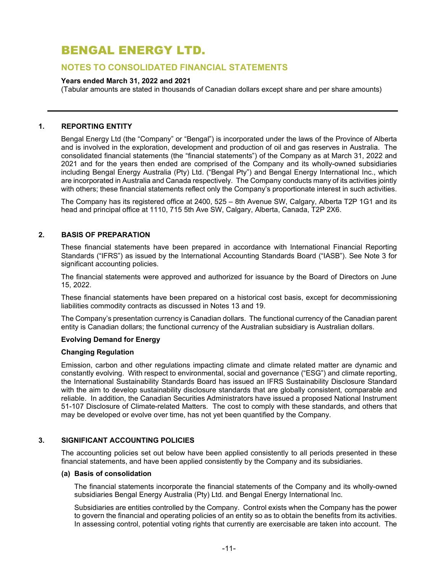## **NOTES TO CONSOLIDATED FINANCIAL STATEMENTS**

## **Years ended March 31, 2022 and 2021**

(Tabular amounts are stated in thousands of Canadian dollars except share and per share amounts)

## **1. REPORTING ENTITY**

Bengal Energy Ltd (the "Company" or "Bengal") is incorporated under the laws of the Province of Alberta and is involved in the exploration, development and production of oil and gas reserves in Australia. The consolidated financial statements (the "financial statements") of the Company as at March 31, 2022 and 2021 and for the years then ended are comprised of the Company and its wholly-owned subsidiaries including Bengal Energy Australia (Pty) Ltd. ("Bengal Pty") and Bengal Energy International Inc., which are incorporated in Australia and Canada respectively. The Company conducts many of its activities jointly with others; these financial statements reflect only the Company's proportionate interest in such activities.

The Company has its registered office at 2400, 525 – 8th Avenue SW, Calgary, Alberta T2P 1G1 and its head and principal office at 1110, 715 5th Ave SW, Calgary, Alberta, Canada, T2P 2X6.

## **2. BASIS OF PREPARATION**

These financial statements have been prepared in accordance with International Financial Reporting Standards ("IFRS") as issued by the International Accounting Standards Board ("IASB"). See Note 3 for significant accounting policies.

The financial statements were approved and authorized for issuance by the Board of Directors on June 15, 2022.

These financial statements have been prepared on a historical cost basis, except for decommissioning liabilities commodity contracts as discussed in Notes 13 and 19.

The Company's presentation currency is Canadian dollars. The functional currency of the Canadian parent entity is Canadian dollars; the functional currency of the Australian subsidiary is Australian dollars.

## **Evolving Demand for Energy**

## **Changing Regulation**

Emission, carbon and other regulations impacting climate and climate related matter are dynamic and constantly evolving. With respect to environmental, social and governance ("ESG") and climate reporting, the International Sustainability Standards Board has issued an IFRS Sustainability Disclosure Standard with the aim to develop sustainability disclosure standards that are globally consistent, comparable and reliable. In addition, the Canadian Securities Administrators have issued a proposed National Instrument 51-107 Disclosure of Climate-related Matters. The cost to comply with these standards, and others that may be developed or evolve over time, has not yet been quantified by the Company.

## **3. SIGNIFICANT ACCOUNTING POLICIES**

The accounting policies set out below have been applied consistently to all periods presented in these financial statements, and have been applied consistently by the Company and its subsidiaries.

## **(a) Basis of consolidation**

The financial statements incorporate the financial statements of the Company and its wholly-owned subsidiaries Bengal Energy Australia (Pty) Ltd. and Bengal Energy International Inc.

Subsidiaries are entities controlled by the Company. Control exists when the Company has the power to govern the financial and operating policies of an entity so as to obtain the benefits from its activities. In assessing control, potential voting rights that currently are exercisable are taken into account. The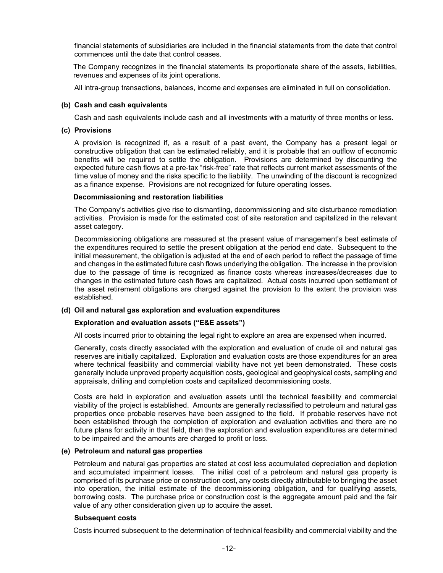financial statements of subsidiaries are included in the financial statements from the date that control commences until the date that control ceases.

The Company recognizes in the financial statements its proportionate share of the assets, liabilities, revenues and expenses of its joint operations.

All intra-group transactions, balances, income and expenses are eliminated in full on consolidation.

#### **(b) Cash and cash equivalents**

Cash and cash equivalents include cash and all investments with a maturity of three months or less.

#### **(c) Provisions**

A provision is recognized if, as a result of a past event, the Company has a present legal or constructive obligation that can be estimated reliably, and it is probable that an outflow of economic benefits will be required to settle the obligation. Provisions are determined by discounting the expected future cash flows at a pre-tax "risk-free" rate that reflects current market assessments of the time value of money and the risks specific to the liability. The unwinding of the discount is recognized as a finance expense. Provisions are not recognized for future operating losses.

#### **Decommissioning and restoration liabilities**

The Company's activities give rise to dismantling, decommissioning and site disturbance remediation activities. Provision is made for the estimated cost of site restoration and capitalized in the relevant asset category.

Decommissioning obligations are measured at the present value of management's best estimate of the expenditures required to settle the present obligation at the period end date. Subsequent to the initial measurement, the obligation is adjusted at the end of each period to reflect the passage of time and changes in the estimated future cash flows underlying the obligation. The increase in the provision due to the passage of time is recognized as finance costs whereas increases/decreases due to changes in the estimated future cash flows are capitalized. Actual costs incurred upon settlement of the asset retirement obligations are charged against the provision to the extent the provision was established.

## **(d) Oil and natural gas exploration and evaluation expenditures**

## **Exploration and evaluation assets ("E&E assets")**

All costs incurred prior to obtaining the legal right to explore an area are expensed when incurred.

Generally, costs directly associated with the exploration and evaluation of crude oil and natural gas reserves are initially capitalized. Exploration and evaluation costs are those expenditures for an area where technical feasibility and commercial viability have not yet been demonstrated. These costs generally include unproved property acquisition costs, geological and geophysical costs, sampling and appraisals, drilling and completion costs and capitalized decommissioning costs.

Costs are held in exploration and evaluation assets until the technical feasibility and commercial viability of the project is established. Amounts are generally reclassified to petroleum and natural gas properties once probable reserves have been assigned to the field. If probable reserves have not been established through the completion of exploration and evaluation activities and there are no future plans for activity in that field, then the exploration and evaluation expenditures are determined to be impaired and the amounts are charged to profit or loss.

#### **(e) Petroleum and natural gas properties**

Petroleum and natural gas properties are stated at cost less accumulated depreciation and depletion and accumulated impairment losses. The initial cost of a petroleum and natural gas property is comprised of its purchase price or construction cost, any costs directly attributable to bringing the asset into operation, the initial estimate of the decommissioning obligation, and for qualifying assets, borrowing costs. The purchase price or construction cost is the aggregate amount paid and the fair value of any other consideration given up to acquire the asset.

#### **Subsequent costs**

Costs incurred subsequent to the determination of technical feasibility and commercial viability and the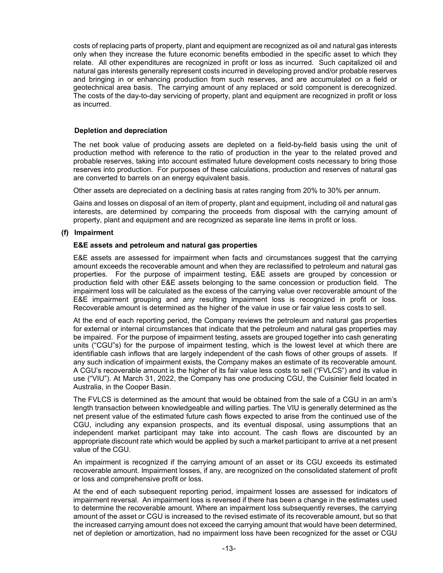costs of replacing parts of property, plant and equipment are recognized as oil and natural gas interests only when they increase the future economic benefits embodied in the specific asset to which they relate. All other expenditures are recognized in profit or loss as incurred. Such capitalized oil and natural gas interests generally represent costs incurred in developing proved and/or probable reserves and bringing in or enhancing production from such reserves, and are accumulated on a field or geotechnical area basis. The carrying amount of any replaced or sold component is derecognized. The costs of the day-to-day servicing of property, plant and equipment are recognized in profit or loss as incurred.

## **Depletion and depreciation**

The net book value of producing assets are depleted on a field-by-field basis using the unit of production method with reference to the ratio of production in the year to the related proved and probable reserves, taking into account estimated future development costs necessary to bring those reserves into production. For purposes of these calculations, production and reserves of natural gas are converted to barrels on an energy equivalent basis.

Other assets are depreciated on a declining basis at rates ranging from 20% to 30% per annum.

Gains and losses on disposal of an item of property, plant and equipment, including oil and natural gas interests, are determined by comparing the proceeds from disposal with the carrying amount of property, plant and equipment and are recognized as separate line items in profit or loss.

## **(f) Impairment**

## **E&E assets and petroleum and natural gas properties**

E&E assets are assessed for impairment when facts and circumstances suggest that the carrying amount exceeds the recoverable amount and when they are reclassified to petroleum and natural gas properties. For the purpose of impairment testing, E&E assets are grouped by concession or production field with other E&E assets belonging to the same concession or production field. The impairment loss will be calculated as the excess of the carrying value over recoverable amount of the E&E impairment grouping and any resulting impairment loss is recognized in profit or loss. Recoverable amount is determined as the higher of the value in use or fair value less costs to sell.

At the end of each reporting period, the Company reviews the petroleum and natural gas properties for external or internal circumstances that indicate that the petroleum and natural gas properties may be impaired. For the purpose of impairment testing, assets are grouped together into cash generating units ("CGU"s) for the purpose of impairment testing, which is the lowest level at which there are identifiable cash inflows that are largely independent of the cash flows of other groups of assets. If any such indication of impairment exists, the Company makes an estimate of its recoverable amount. A CGU's recoverable amount is the higher of its fair value less costs to sell ("FVLCS") and its value in use ("VIU"). At March 31, 2022, the Company has one producing CGU, the Cuisinier field located in Australia, in the Cooper Basin.

The FVLCS is determined as the amount that would be obtained from the sale of a CGU in an arm's length transaction between knowledgeable and willing parties. The VIU is generally determined as the net present value of the estimated future cash flows expected to arise from the continued use of the CGU, including any expansion prospects, and its eventual disposal, using assumptions that an independent market participant may take into account. The cash flows are discounted by an appropriate discount rate which would be applied by such a market participant to arrive at a net present value of the CGU.

An impairment is recognized if the carrying amount of an asset or its CGU exceeds its estimated recoverable amount. Impairment losses, if any, are recognized on the consolidated statement of profit or loss and comprehensive profit or loss.

At the end of each subsequent reporting period, impairment losses are assessed for indicators of impairment reversal. An impairment loss is reversed if there has been a change in the estimates used to determine the recoverable amount. Where an impairment loss subsequently reverses, the carrying amount of the asset or CGU is increased to the revised estimate of its recoverable amount, but so that the increased carrying amount does not exceed the carrying amount that would have been determined, net of depletion or amortization, had no impairment loss have been recognized for the asset or CGU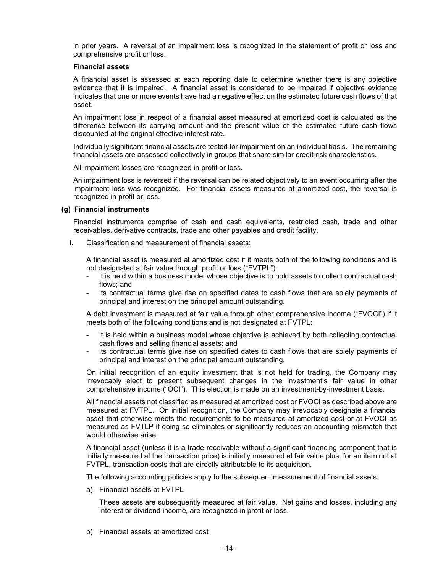in prior years. A reversal of an impairment loss is recognized in the statement of profit or loss and comprehensive profit or loss.

#### **Financial assets**

A financial asset is assessed at each reporting date to determine whether there is any objective evidence that it is impaired. A financial asset is considered to be impaired if objective evidence indicates that one or more events have had a negative effect on the estimated future cash flows of that asset.

An impairment loss in respect of a financial asset measured at amortized cost is calculated as the difference between its carrying amount and the present value of the estimated future cash flows discounted at the original effective interest rate.

Individually significant financial assets are tested for impairment on an individual basis. The remaining financial assets are assessed collectively in groups that share similar credit risk characteristics.

All impairment losses are recognized in profit or loss.

An impairment loss is reversed if the reversal can be related objectively to an event occurring after the impairment loss was recognized. For financial assets measured at amortized cost, the reversal is recognized in profit or loss.

#### **(g) Financial instruments**

Financial instruments comprise of cash and cash equivalents, restricted cash, trade and other receivables, derivative contracts, trade and other payables and credit facility.

i. Classification and measurement of financial assets:

A financial asset is measured at amortized cost if it meets both of the following conditions and is not designated at fair value through profit or loss ("FVTPL"):

- it is held within a business model whose objective is to hold assets to collect contractual cash flows; and
- its contractual terms give rise on specified dates to cash flows that are solely payments of principal and interest on the principal amount outstanding.

A debt investment is measured at fair value through other comprehensive income ("FVOCI") if it meets both of the following conditions and is not designated at FVTPL:

- it is held within a business model whose objective is achieved by both collecting contractual cash flows and selling financial assets; and
- its contractual terms give rise on specified dates to cash flows that are solely payments of principal and interest on the principal amount outstanding.

On initial recognition of an equity investment that is not held for trading, the Company may irrevocably elect to present subsequent changes in the investment's fair value in other comprehensive income ("OCI"). This election is made on an investment-by-investment basis.

All financial assets not classified as measured at amortized cost or FVOCI as described above are measured at FVTPL. On initial recognition, the Company may irrevocably designate a financial asset that otherwise meets the requirements to be measured at amortized cost or at FVOCI as measured as FVTLP if doing so eliminates or significantly reduces an accounting mismatch that would otherwise arise.

A financial asset (unless it is a trade receivable without a significant financing component that is initially measured at the transaction price) is initially measured at fair value plus, for an item not at FVTPL, transaction costs that are directly attributable to its acquisition.

The following accounting policies apply to the subsequent measurement of financial assets:

a) Financial assets at FVTPL

These assets are subsequently measured at fair value. Net gains and losses, including any interest or dividend income, are recognized in profit or loss.

b) Financial assets at amortized cost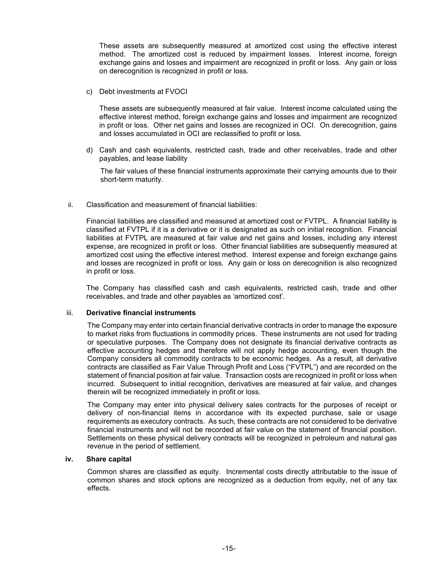These assets are subsequently measured at amortized cost using the effective interest method. The amortized cost is reduced by impairment losses. Interest income, foreign exchange gains and losses and impairment are recognized in profit or loss. Any gain or loss on derecognition is recognized in profit or loss.

c) Debt investments at FVOCI

These assets are subsequently measured at fair value. Interest income calculated using the effective interest method, foreign exchange gains and losses and impairment are recognized in profit or loss. Other net gains and losses are recognized in OCI. On derecognition, gains and losses accumulated in OCI are reclassified to profit or loss.

d) Cash and cash equivalents, restricted cash, trade and other receivables, trade and other payables, and lease liability

The fair values of these financial instruments approximate their carrying amounts due to their short-term maturity.

ii. Classification and measurement of financial liabilities:

Financial liabilities are classified and measured at amortized cost or FVTPL. A financial liability is classified at FVTPL if it is a derivative or it is designated as such on initial recognition. Financial liabilities at FVTPL are measured at fair value and net gains and losses, including any interest expense, are recognized in profit or loss. Other financial liabilities are subsequently measured at amortized cost using the effective interest method. Interest expense and foreign exchange gains and losses are recognized in profit or loss. Any gain or loss on derecognition is also recognized in profit or loss.

The Company has classified cash and cash equivalents, restricted cash, trade and other receivables, and trade and other payables as 'amortized cost'.

## iii. **Derivative financial instruments**

The Company may enter into certain financial derivative contracts in order to manage the exposure to market risks from fluctuations in commodity prices. These instruments are not used for trading or speculative purposes. The Company does not designate its financial derivative contracts as effective accounting hedges and therefore will not apply hedge accounting, even though the Company considers all commodity contracts to be economic hedges. As a result, all derivative contracts are classified as Fair Value Through Profit and Loss ("FVTPL") and are recorded on the statement of financial position at fair value. Transaction costs are recognized in profit or loss when incurred. Subsequent to initial recognition, derivatives are measured at fair value, and changes therein will be recognized immediately in profit or loss.

The Company may enter into physical delivery sales contracts for the purposes of receipt or delivery of non-financial items in accordance with its expected purchase, sale or usage requirements as executory contracts. As such, these contracts are not considered to be derivative financial instruments and will not be recorded at fair value on the statement of financial position. Settlements on these physical delivery contracts will be recognized in petroleum and natural gas revenue in the period of settlement.

## **iv. Share capital**

Common shares are classified as equity. Incremental costs directly attributable to the issue of common shares and stock options are recognized as a deduction from equity, net of any tax effects.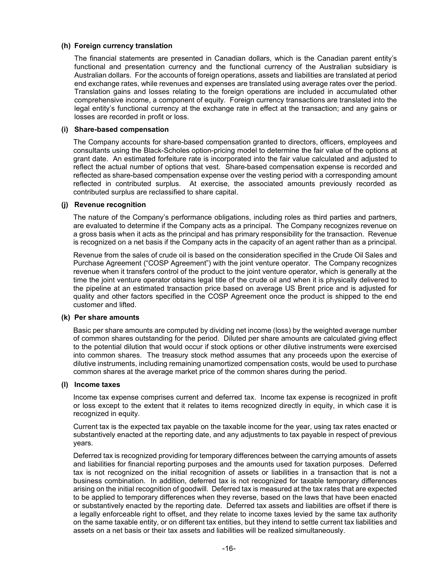## **(h) Foreign currency translation**

The financial statements are presented in Canadian dollars, which is the Canadian parent entity's functional and presentation currency and the functional currency of the Australian subsidiary is Australian dollars. For the accounts of foreign operations, assets and liabilities are translated at period end exchange rates, while revenues and expenses are translated using average rates over the period. Translation gains and losses relating to the foreign operations are included in accumulated other comprehensive income, a component of equity. Foreign currency transactions are translated into the legal entity's functional currency at the exchange rate in effect at the transaction; and any gains or losses are recorded in profit or loss.

## **(i) Share-based compensation**

The Company accounts for share-based compensation granted to directors, officers, employees and consultants using the Black-Scholes option-pricing model to determine the fair value of the options at grant date. An estimated forfeiture rate is incorporated into the fair value calculated and adjusted to reflect the actual number of options that vest. Share-based compensation expense is recorded and reflected as share-based compensation expense over the vesting period with a corresponding amount reflected in contributed surplus. At exercise, the associated amounts previously recorded as contributed surplus are reclassified to share capital.

## **(j) Revenue recognition**

The nature of the Company's performance obligations, including roles as third parties and partners, are evaluated to determine if the Company acts as a principal. The Company recognizes revenue on a gross basis when it acts as the principal and has primary responsibility for the transaction. Revenue is recognized on a net basis if the Company acts in the capacity of an agent rather than as a principal.

Revenue from the sales of crude oil is based on the consideration specified in the Crude Oil Sales and Purchase Agreement ("COSP Agreement") with the joint venture operator. The Company recognizes revenue when it transfers control of the product to the joint venture operator, which is generally at the time the joint venture operator obtains legal title of the crude oil and when it is physically delivered to the pipeline at an estimated transaction price based on average US Brent price and is adjusted for quality and other factors specified in the COSP Agreement once the product is shipped to the end customer and lifted.

## **(k) Per share amounts**

Basic per share amounts are computed by dividing net income (loss) by the weighted average number of common shares outstanding for the period. Diluted per share amounts are calculated giving effect to the potential dilution that would occur if stock options or other dilutive instruments were exercised into common shares. The treasury stock method assumes that any proceeds upon the exercise of dilutive instruments, including remaining unamortized compensation costs, would be used to purchase common shares at the average market price of the common shares during the period.

## **(l) Income taxes**

Income tax expense comprises current and deferred tax. Income tax expense is recognized in profit or loss except to the extent that it relates to items recognized directly in equity, in which case it is recognized in equity.

Current tax is the expected tax payable on the taxable income for the year, using tax rates enacted or substantively enacted at the reporting date, and any adjustments to tax payable in respect of previous years.

Deferred tax is recognized providing for temporary differences between the carrying amounts of assets and liabilities for financial reporting purposes and the amounts used for taxation purposes. Deferred tax is not recognized on the initial recognition of assets or liabilities in a transaction that is not a business combination. In addition, deferred tax is not recognized for taxable temporary differences arising on the initial recognition of goodwill. Deferred tax is measured at the tax rates that are expected to be applied to temporary differences when they reverse, based on the laws that have been enacted or substantively enacted by the reporting date. Deferred tax assets and liabilities are offset if there is a legally enforceable right to offset, and they relate to income taxes levied by the same tax authority on the same taxable entity, or on different tax entities, but they intend to settle current tax liabilities and assets on a net basis or their tax assets and liabilities will be realized simultaneously.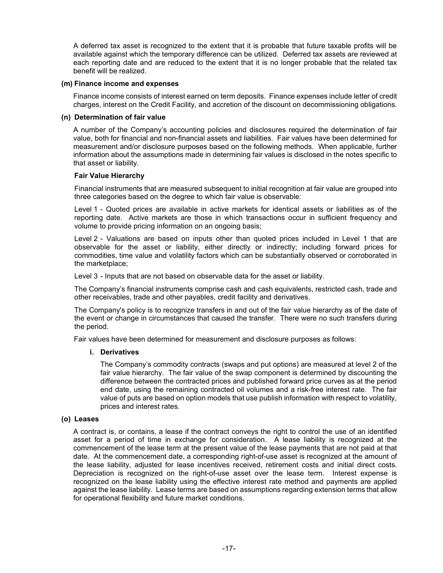A deferred tax asset is recognized to the extent that it is probable that future taxable profits will be available against which the temporary difference can be utilized. Deferred tax assets are reviewed at each reporting date and are reduced to the extent that it is no longer probable that the related tax benefit will be realized.

#### **(m) Finance income and expenses**

Finance income consists of interest earned on term deposits. Finance expenses include letter of credit charges, interest on the Credit Facility, and accretion of the discount on decommissioning obligations.

#### **(n) Determination of fair value**

A number of the Company's accounting policies and disclosures required the determination of fair value, both for financial and non-financial assets and liabilities. Fair values have been determined for measurement and/or disclosure purposes based on the following methods. When applicable, further information about the assumptions made in determining fair values is disclosed in the notes specific to that asset or liability.

## **Fair Value Hierarchy**

Financial instruments that are measured subsequent to initial recognition at fair value are grouped into three categories based on the degree to which fair value is observable:

Level 1 - Quoted prices are available in active markets for identical assets or liabilities as of the reporting date. Active markets are those in which transactions occur in sufficient frequency and volume to provide pricing information on an ongoing basis;

Level 2 - Valuations are based on inputs other than quoted prices included in Level 1 that are observable for the asset or liability, either directly or indirectly; including forward prices for commodities, time value and volatility factors which can be substantially observed or corroborated in the marketplace;

Level 3 - Inputs that are not based on observable data for the asset or liability.

The Company's financial instruments comprise cash and cash equivalents, restricted cash, trade and other receivables, trade and other payables, credit facility and derivatives.

The Company's policy is to recognize transfers in and out of the fair value hierarchy as of the date of the event or change in circumstances that caused the transfer. There were no such transfers during the period.

Fair values have been determined for measurement and disclosure purposes as follows:

## **i. Derivatives**

The Company's commodity contracts (swaps and put options) are measured at level 2 of the fair value hierarchy. The fair value of the swap component is determined by discounting the difference between the contracted prices and published forward price curves as at the period end date, using the remaining contracted oil volumes and a risk-free interest rate. The fair value of puts are based on option models that use publish information with respect to volatility, prices and interest rates.

## **(o) Leases**

A contract is, or contains, a lease if the contract conveys the right to control the use of an identified asset for a period of time in exchange for consideration. A lease liability is recognized at the commencement of the lease term at the present value of the lease payments that are not paid at that date. At the commencement date, a corresponding right-of-use asset is recognized at the amount of the lease liability, adjusted for lease incentives received, retirement costs and initial direct costs. Depreciation is recognized on the right-of-use asset over the lease term. Interest expense is recognized on the lease liability using the effective interest rate method and payments are applied against the lease liability. Lease terms are based on assumptions regarding extension terms that allow for operational flexibility and future market conditions.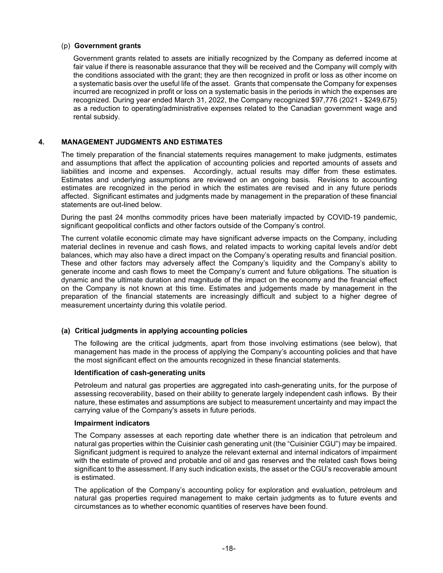## (p) **Government grants**

Government grants related to assets are initially recognized by the Company as deferred income at fair value if there is reasonable assurance that they will be received and the Company will comply with the conditions associated with the grant; they are then recognized in profit or loss as other income on a systematic basis over the useful life of the asset. Grants that compensate the Company for expenses incurred are recognized in profit or loss on a systematic basis in the periods in which the expenses are recognized. During year ended March 31, 2022, the Company recognized \$97,776 (2021 - \$249,675) as a reduction to operating/administrative expenses related to the Canadian government wage and rental subsidy.

## **4. MANAGEMENT JUDGMENTS AND ESTIMATES**

The timely preparation of the financial statements requires management to make judgments, estimates and assumptions that affect the application of accounting policies and reported amounts of assets and liabilities and income and expenses. Accordingly, actual results may differ from these estimates. Estimates and underlying assumptions are reviewed on an ongoing basis. Revisions to accounting estimates are recognized in the period in which the estimates are revised and in any future periods affected. Significant estimates and judgments made by management in the preparation of these financial statements are out-lined below.

During the past 24 months commodity prices have been materially impacted by COVID-19 pandemic, significant geopolitical conflicts and other factors outside of the Company's control.

The current volatile economic climate may have significant adverse impacts on the Company, including material declines in revenue and cash flows, and related impacts to working capital levels and/or debt balances, which may also have a direct impact on the Company's operating results and financial position. These and other factors may adversely affect the Company's liquidity and the Company's ability to generate income and cash flows to meet the Company's current and future obligations. The situation is dynamic and the ultimate duration and magnitude of the impact on the economy and the financial effect on the Company is not known at this time. Estimates and judgements made by management in the preparation of the financial statements are increasingly difficult and subject to a higher degree of measurement uncertainty during this volatile period.

## **(a) Critical judgments in applying accounting policies**

The following are the critical judgments, apart from those involving estimations (see below), that management has made in the process of applying the Company's accounting policies and that have the most significant effect on the amounts recognized in these financial statements.

## **Identification of cash-generating units**

Petroleum and natural gas properties are aggregated into cash-generating units, for the purpose of assessing recoverability, based on their ability to generate largely independent cash inflows. By their nature, these estimates and assumptions are subject to measurement uncertainty and may impact the carrying value of the Company's assets in future periods.

#### **Impairment indicators**

The Company assesses at each reporting date whether there is an indication that petroleum and natural gas properties within the Cuisinier cash generating unit (the "Cuisinier CGU") may be impaired. Significant judgment is required to analyze the relevant external and internal indicators of impairment with the estimate of proved and probable and oil and gas reserves and the related cash flows being significant to the assessment. If any such indication exists, the asset or the CGU's recoverable amount is estimated.

The application of the Company's accounting policy for exploration and evaluation, petroleum and natural gas properties required management to make certain judgments as to future events and circumstances as to whether economic quantities of reserves have been found.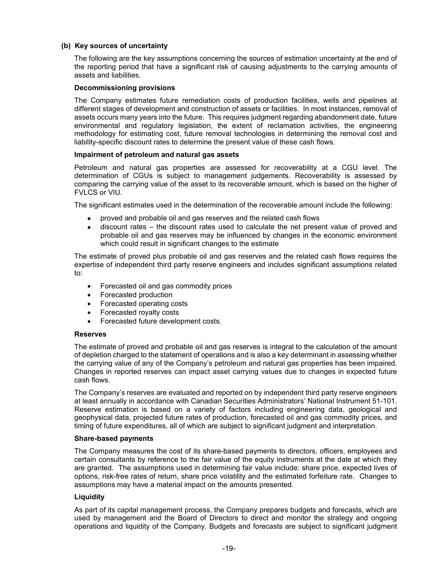## **(b) Key sources of uncertainty**

The following are the key assumptions concerning the sources of estimation uncertainty at the end of the reporting period that have a significant risk of causing adjustments to the carrying amounts of assets and liabilities.

## **Decommissioning provisions**

The Company estimates future remediation costs of production facilities, wells and pipelines at different stages of development and construction of assets or facilities. In most instances, removal of assets occurs many years into the future. This requires judgment regarding abandonment date, future environmental and regulatory legislation, the extent of reclamation activities, the engineering methodology for estimating cost, future removal technologies in determining the removal cost and liability-specific discount rates to determine the present value of these cash flows.

## **Impairment of petroleum and natural gas assets**

Petroleum and natural gas properties are assessed for recoverability at a CGU level. The determination of CGUs is subject to management judgements. Recoverability is assessed by comparing the carrying value of the asset to its recoverable amount, which is based on the higher of FVLCS or VIU.

The significant estimates used in the determination of the recoverable amount include the following:

- proved and probable oil and gas reserves and the related cash flows
- discount rates the discount rates used to calculate the net present value of proved and probable oil and gas reserves may be influenced by changes in the economic environment which could result in significant changes to the estimate

The estimate of proved plus probable oil and gas reserves and the related cash flows requires the expertise of independent third party reserve engineers and includes significant assumptions related to:

- Forecasted oil and gas commodity prices
- Forecasted production
- Forecasted operating costs
- Forecasted royalty costs
- Forecasted future development costs.

## **Reserves**

The estimate of proved and probable oil and gas reserves is integral to the calculation of the amount of depletion charged to the statement of operations and is also a key determinant in assessing whether the carrying value of any of the Company's petroleum and natural gas properties has been impaired. Changes in reported reserves can impact asset carrying values due to changes in expected future cash flows.

The Company's reserves are evaluated and reported on by independent third party reserve engineers at least annually in accordance with Canadian Securities Administrators' National Instrument 51-101. Reserve estimation is based on a variety of factors including engineering data, geological and geophysical data, projected future rates of production, forecasted oil and gas commodity prices, and timing of future expenditures, all of which are subject to significant judgment and interpretation.

## **Share-based payments**

The Company measures the cost of its share-based payments to directors, officers, employees and certain consultants by reference to the fair value of the equity instruments at the date at which they are granted. The assumptions used in determining fair value include: share price, expected lives of options, risk-free rates of return, share price volatility and the estimated forfeiture rate. Changes to assumptions may have a material impact on the amounts presented.

## **Liquidity**

As part of its capital management process, the Company prepares budgets and forecasts, which are used by management and the Board of Directors to direct and monitor the strategy and ongoing operations and liquidity of the Company. Budgets and forecasts are subject to significant judgment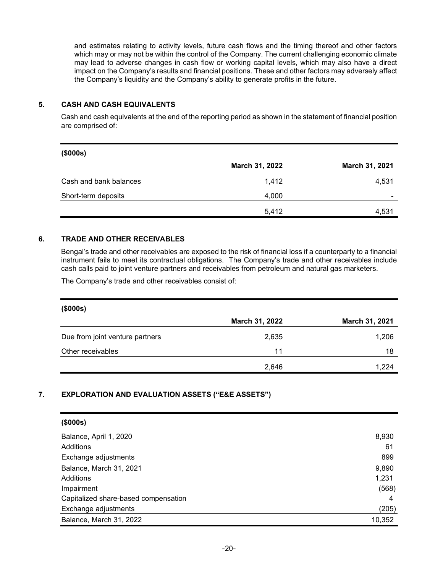and estimates relating to activity levels, future cash flows and the timing thereof and other factors which may or may not be within the control of the Company. The current challenging economic climate may lead to adverse changes in cash flow or working capital levels, which may also have a direct impact on the Company's results and financial positions. These and other factors may adversely affect the Company's liquidity and the Company's ability to generate profits in the future.

## **5. CASH AND CASH EQUIVALENTS**

Cash and cash equivalents at the end of the reporting period as shown in the statement of financial position are comprised of:

| (\$000s)               |                |                |
|------------------------|----------------|----------------|
|                        | March 31, 2022 | March 31, 2021 |
| Cash and bank balances | 1,412          | 4,531          |
| Short-term deposits    | 4,000          | ٠              |
|                        | 5,412          | 4,531          |

## **6. TRADE AND OTHER RECEIVABLES**

Bengal's trade and other receivables are exposed to the risk of financial loss if a counterparty to a financial instrument fails to meet its contractual obligations. The Company's trade and other receivables include cash calls paid to joint venture partners and receivables from petroleum and natural gas marketers.

The Company's trade and other receivables consist of:

| (\$000s)                        |                |                |
|---------------------------------|----------------|----------------|
|                                 | March 31, 2022 | March 31, 2021 |
| Due from joint venture partners | 2,635          | 1,206          |
| Other receivables               | 11             | 18             |
|                                 | 2,646          | 1.224          |

## **7. EXPLORATION AND EVALUATION ASSETS ("E&E ASSETS")**

| (\$000s)                             |        |
|--------------------------------------|--------|
| Balance, April 1, 2020               | 8,930  |
| Additions                            | 61     |
| Exchange adjustments                 | 899    |
| Balance, March 31, 2021              | 9,890  |
| Additions                            | 1,231  |
| Impairment                           | (568)  |
| Capitalized share-based compensation | 4      |
| Exchange adjustments                 | (205)  |
| Balance, March 31, 2022              | 10,352 |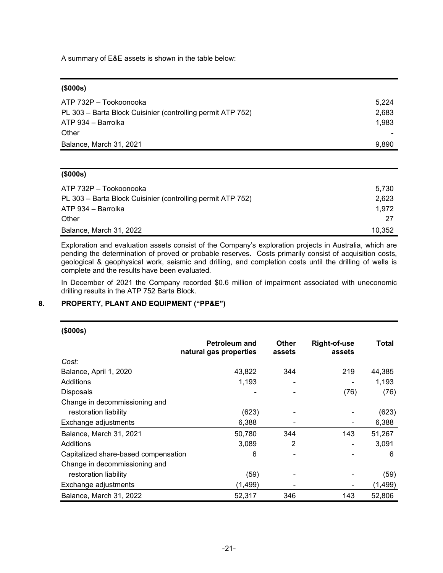A summary of E&E assets is shown in the table below:

## **(\$000s)**

| ATP 732P - Tookoonooka<br>PL 303 – Barta Block Cuisinier (controlling permit ATP 752) | 5.224<br>2,683 |
|---------------------------------------------------------------------------------------|----------------|
| ATP 934 - Barrolka                                                                    | 1.983          |
| Other                                                                                 |                |
| Balance, March 31, 2021                                                               | 9.890          |

## **(\$000s)**

| ATP 732P – Tookoonooka                                      | 5.730  |
|-------------------------------------------------------------|--------|
| PL 303 – Barta Block Cuisinier (controlling permit ATP 752) | 2.623  |
| ATP 934 – Barrolka                                          | 1.972  |
| Other                                                       | 27     |
| Balance, March 31, 2022                                     | 10.352 |

Exploration and evaluation assets consist of the Company's exploration projects in Australia, which are pending the determination of proved or probable reserves. Costs primarily consist of acquisition costs, geological & geophysical work, seismic and drilling, and completion costs until the drilling of wells is complete and the results have been evaluated.

In December of 2021 the Company recorded \$0.6 million of impairment associated with uneconomic drilling results in the ATP 752 Barta Block.

## **8. PROPERTY, PLANT AND EQUIPMENT ("PP&E")**

## **(\$000s)**

|                                      | <b>Petroleum and</b><br>natural gas properties | <b>Other</b><br>assets | <b>Right-of-use</b><br>assets | Total    |
|--------------------------------------|------------------------------------------------|------------------------|-------------------------------|----------|
| Cost:                                |                                                |                        |                               |          |
| Balance, April 1, 2020               | 43,822                                         | 344                    | 219                           | 44,385   |
| Additions                            | 1,193                                          |                        |                               | 1,193    |
| <b>Disposals</b>                     |                                                |                        | (76)                          | (76)     |
| Change in decommissioning and        |                                                |                        |                               |          |
| restoration liability                | (623)                                          |                        |                               | (623)    |
| Exchange adjustments                 | 6,388                                          |                        |                               | 6,388    |
| Balance, March 31, 2021              | 50,780                                         | 344                    | 143                           | 51,267   |
| Additions                            | 3.089                                          | 2                      |                               | 3,091    |
| Capitalized share-based compensation | 6                                              |                        |                               | 6        |
| Change in decommissioning and        |                                                |                        |                               |          |
| restoration liability                | (59)                                           |                        |                               | (59)     |
| Exchange adjustments                 | (1, 499)                                       |                        |                               | (1, 499) |
| Balance, March 31, 2022              | 52,317                                         | 346                    | 143                           | 52,806   |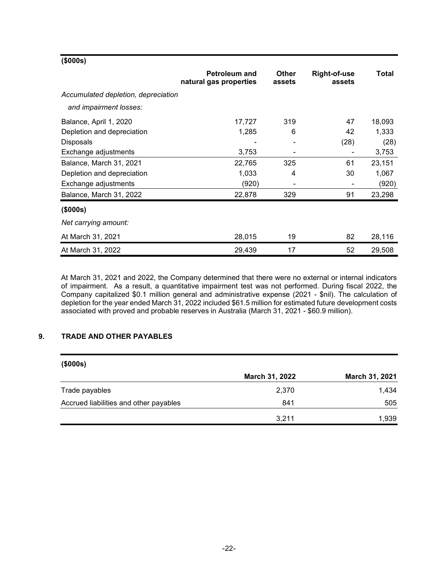## **(\$000s)**

|                                     | <b>Petroleum and</b><br>natural gas properties | <b>Other</b><br>assets | <b>Right-of-use</b><br>assets | Total  |
|-------------------------------------|------------------------------------------------|------------------------|-------------------------------|--------|
| Accumulated depletion, depreciation |                                                |                        |                               |        |
| and impairment losses:              |                                                |                        |                               |        |
| Balance, April 1, 2020              | 17,727                                         | 319                    | 47                            | 18,093 |
| Depletion and depreciation          | 1,285                                          | 6                      | 42                            | 1,333  |
| <b>Disposals</b>                    |                                                |                        | (28)                          | (28)   |
| Exchange adjustments                | 3,753                                          |                        | -                             | 3,753  |
| Balance, March 31, 2021             | 22,765                                         | 325                    | 61                            | 23,151 |
| Depletion and depreciation          | 1,033                                          | 4                      | 30                            | 1,067  |
| Exchange adjustments                | (920)                                          |                        |                               | (920)  |
| Balance, March 31, 2022             | 22,878                                         | 329                    | 91                            | 23,298 |
| (\$000s)                            |                                                |                        |                               |        |
| Net carrying amount:                |                                                |                        |                               |        |
| At March 31, 2021                   | 28,015                                         | 19                     | 82                            | 28,116 |
| At March 31, 2022                   | 29,439                                         | 17                     | 52                            | 29,508 |

At March 31, 2021 and 2022, the Company determined that there were no external or internal indicators of impairment. As a result, a quantitative impairment test was not performed. During fiscal 2022, the Company capitalized \$0.1 million general and administrative expense (2021 - \$nil). The calculation of depletion for the year ended March 31, 2022 included \$61.5 million for estimated future development costs associated with proved and probable reserves in Australia (March 31, 2021 - \$60.9 million).

## **9. TRADE AND OTHER PAYABLES**

| (\$000s)                               |                |                |
|----------------------------------------|----------------|----------------|
|                                        | March 31, 2022 | March 31, 2021 |
| Trade payables                         | 2,370          | 1.434          |
| Accrued liabilities and other payables | 841            | 505            |
|                                        | 3,211          | 1,939          |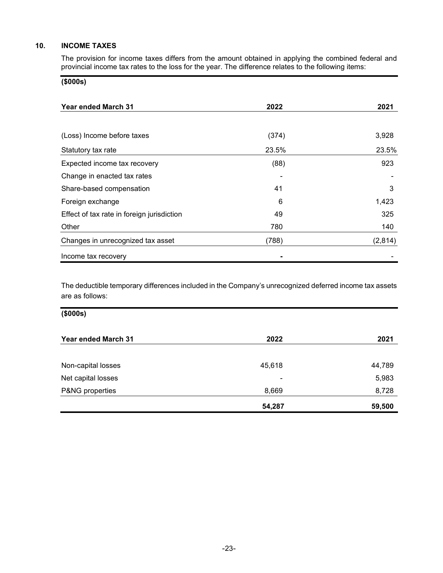## **10. INCOME TAXES**

The provision for income taxes differs from the amount obtained in applying the combined federal and provincial income tax rates to the loss for the year. The difference relates to the following items:

## **(\$000s)**

| <b>Year ended March 31</b>                 | 2022  | 2021    |
|--------------------------------------------|-------|---------|
|                                            |       |         |
| (Loss) Income before taxes                 | (374) | 3,928   |
| Statutory tax rate                         | 23.5% | 23.5%   |
| Expected income tax recovery               | (88)  | 923     |
| Change in enacted tax rates                |       |         |
| Share-based compensation                   | 41    | 3       |
| Foreign exchange                           | 6     | 1,423   |
| Effect of tax rate in foreign jurisdiction | 49    | 325     |
| Other                                      | 780   | 140     |
| Changes in unrecognized tax asset          | (788) | (2,814) |
| Income tax recovery                        |       |         |

The deductible temporary differences included in the Company's unrecognized deferred income tax assets are as follows:

## **(\$000s)**

| <b>Year ended March 31</b> | 2022   | 2021   |
|----------------------------|--------|--------|
|                            |        |        |
| Non-capital losses         | 45,618 | 44,789 |
| Net capital losses         | -      | 5,983  |
| P&NG properties            | 8,669  | 8,728  |
|                            | 54,287 | 59,500 |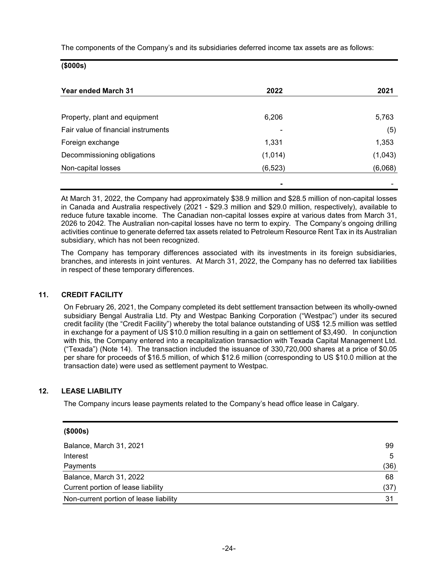The components of the Company's and its subsidiaries deferred income tax assets are as follows:

## **(\$000s)**

| <b>Year ended March 31</b>          | 2022     | 2021    |
|-------------------------------------|----------|---------|
|                                     |          |         |
| Property, plant and equipment       | 6,206    | 5,763   |
| Fair value of financial instruments |          | (5)     |
| Foreign exchange                    | 1,331    | 1,353   |
| Decommissioning obligations         | (1,014)  | (1,043) |
| Non-capital losses                  | (6, 523) | (6,068) |
|                                     |          |         |

At March 31, 2022, the Company had approximately \$38.9 million and \$28.5 million of non-capital losses in Canada and Australia respectively (2021 - \$29.3 million and \$29.0 million, respectively), available to reduce future taxable income. The Canadian non-capital losses expire at various dates from March 31, 2026 to 2042. The Australian non-capital losses have no term to expiry. The Company's ongoing drilling activities continue to generate deferred tax assets related to Petroleum Resource Rent Tax in its Australian subsidiary, which has not been recognized.

The Company has temporary differences associated with its investments in its foreign subsidiaries, branches, and interests in joint ventures. At March 31, 2022, the Company has no deferred tax liabilities in respect of these temporary differences.

## **11. CREDIT FACILITY**

On February 26, 2021, the Company completed its debt settlement transaction between its wholly-owned subsidiary Bengal Australia Ltd. Pty and Westpac Banking Corporation ("Westpac") under its secured credit facility (the "Credit Facility") whereby the total balance outstanding of US\$ 12.5 million was settled in exchange for a payment of US \$10.0 million resulting in a gain on settlement of \$3,490. In conjunction with this, the Company entered into a recapitalization transaction with Texada Capital Management Ltd. ("Texada") (Note 14). The transaction included the issuance of 330,720,000 shares at a price of \$0.05 per share for proceeds of \$16.5 million, of which \$12.6 million (corresponding to US \$10.0 million at the transaction date) were used as settlement payment to Westpac.

## **12. LEASE LIABILITY**

The Company incurs lease payments related to the Company's head office lease in Calgary.

| (\$000s)                               |      |
|----------------------------------------|------|
| Balance, March 31, 2021                | 99   |
| Interest                               | 5    |
| Payments                               | (36) |
| Balance, March 31, 2022                | 68   |
| Current portion of lease liability     | (37) |
| Non-current portion of lease liability | 31   |
|                                        |      |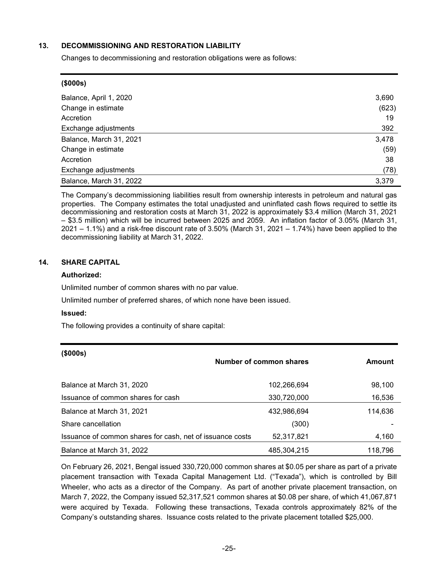## **13. DECOMMISSIONING AND RESTORATION LIABILITY**

Changes to decommissioning and restoration obligations were as follows:

| (\$000s) |  |  |  |  |
|----------|--|--|--|--|
|----------|--|--|--|--|

| Balance, April 1, 2020  | 3,690 |
|-------------------------|-------|
| Change in estimate      | (623) |
| Accretion               | 19    |
| Exchange adjustments    | 392   |
| Balance, March 31, 2021 | 3,478 |
| Change in estimate      | (59)  |
| Accretion               | 38    |
| Exchange adjustments    | (78)  |
| Balance, March 31, 2022 | 3,379 |

The Company's decommissioning liabilities result from ownership interests in petroleum and natural gas properties. The Company estimates the total unadjusted and uninflated cash flows required to settle its decommissioning and restoration costs at March 31, 2022 is approximately \$3.4 million (March 31, 2021 – \$3.5 million) which will be incurred between 2025 and 2059. An inflation factor of 3.05% (March 31,  $2021 - 1.1\%$ ) and a risk-free discount rate of 3.50% (March 31, 2021 – 1.74%) have been applied to the decommissioning liability at March 31, 2022.

## **14. SHARE CAPITAL**

#### **Authorized:**

Unlimited number of common shares with no par value.

Unlimited number of preferred shares, of which none have been issued.

#### **Issued:**

The following provides a continuity of share capital:

| (\$000s)                                                  | Number of common shares | Amount  |
|-----------------------------------------------------------|-------------------------|---------|
| Balance at March 31, 2020                                 | 102,266,694             | 98,100  |
| Issuance of common shares for cash                        | 330,720,000             | 16,536  |
| Balance at March 31, 2021                                 | 432,986,694             | 114,636 |
| Share cancellation                                        | (300)                   |         |
| Issuance of common shares for cash, net of issuance costs | 52,317,821              | 4,160   |
| Balance at March 31, 2022                                 | 485,304,215             | 118,796 |

On February 26, 2021, Bengal issued 330,720,000 common shares at \$0.05 per share as part of a private placement transaction with Texada Capital Management Ltd. ("Texada"), which is controlled by Bill Wheeler, who acts as a director of the Company. As part of another private placement transaction, on March 7, 2022, the Company issued 52,317,521 common shares at \$0.08 per share, of which 41,067,871 were acquired by Texada. Following these transactions, Texada controls approximately 82% of the Company's outstanding shares. Issuance costs related to the private placement totalled \$25,000.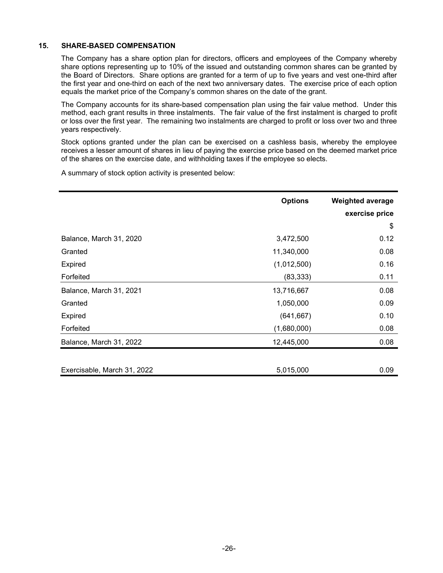## **15. SHARE-BASED COMPENSATION**

The Company has a share option plan for directors, officers and employees of the Company whereby share options representing up to 10% of the issued and outstanding common shares can be granted by the Board of Directors. Share options are granted for a term of up to five years and vest one-third after the first year and one-third on each of the next two anniversary dates. The exercise price of each option equals the market price of the Company's common shares on the date of the grant.

The Company accounts for its share-based compensation plan using the fair value method. Under this method, each grant results in three instalments. The fair value of the first instalment is charged to profit or loss over the first year. The remaining two instalments are charged to profit or loss over two and three years respectively.

Stock options granted under the plan can be exercised on a cashless basis, whereby the employee receives a lesser amount of shares in lieu of paying the exercise price based on the deemed market price of the shares on the exercise date, and withholding taxes if the employee so elects.

A summary of stock option activity is presented below:

|                             | <b>Options</b> | <b>Weighted average</b><br>exercise price |
|-----------------------------|----------------|-------------------------------------------|
|                             |                | \$                                        |
| Balance, March 31, 2020     | 3,472,500      | 0.12                                      |
| Granted                     | 11,340,000     | 0.08                                      |
| Expired                     | (1,012,500)    | 0.16                                      |
| Forfeited                   | (83, 333)      | 0.11                                      |
| Balance, March 31, 2021     | 13,716,667     | 0.08                                      |
| Granted                     | 1,050,000      | 0.09                                      |
| Expired                     | (641, 667)     | 0.10                                      |
| Forfeited                   | (1,680,000)    | 0.08                                      |
| Balance, March 31, 2022     | 12,445,000     | 0.08                                      |
|                             |                |                                           |
| Exercisable, March 31, 2022 | 5,015,000      | 0.09                                      |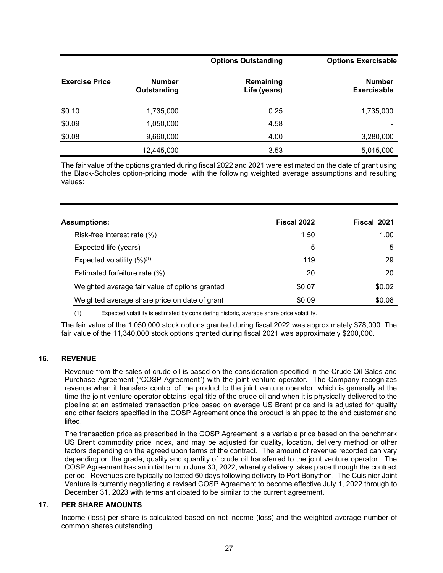|                       |                              | <b>Options Outstanding</b> | <b>Options Exercisable</b>          |
|-----------------------|------------------------------|----------------------------|-------------------------------------|
| <b>Exercise Price</b> | <b>Number</b><br>Outstanding | Remaining<br>Life (years)  | <b>Number</b><br><b>Exercisable</b> |
| \$0.10                | 1,735,000                    | 0.25                       | 1,735,000                           |
| \$0.09                | 1,050,000                    | 4.58                       |                                     |
| \$0.08                | 9,660,000                    | 4.00                       | 3,280,000                           |
|                       | 12,445,000                   | 3.53                       | 5,015,000                           |

The fair value of the options granted during fiscal 2022 and 2021 were estimated on the date of grant using the Black-Scholes option-pricing model with the following weighted average assumptions and resulting values:

| <b>Assumptions:</b>                            | Fiscal 2022 | Fiscal 2021 |
|------------------------------------------------|-------------|-------------|
| Risk-free interest rate (%)                    | 1.50        | 1.00        |
| Expected life (years)                          | 5           | 5           |
| Expected volatility $(\%)^{(1)}$               | 119         | 29          |
| Estimated forfeiture rate (%)                  | 20          | 20          |
| Weighted average fair value of options granted | \$0.07      | \$0.02      |
| Weighted average share price on date of grant  | \$0.09      | \$0.08      |
|                                                |             |             |

(1) Expected volatility is estimated by considering historic, average share price volatility.

The fair value of the 1,050,000 stock options granted during fiscal 2022 was approximately \$78,000. The fair value of the 11,340,000 stock options granted during fiscal 2021 was approximately \$200,000.

## **16. REVENUE**

Revenue from the sales of crude oil is based on the consideration specified in the Crude Oil Sales and Purchase Agreement ("COSP Agreement") with the joint venture operator. The Company recognizes revenue when it transfers control of the product to the joint venture operator, which is generally at the time the joint venture operator obtains legal title of the crude oil and when it is physically delivered to the pipeline at an estimated transaction price based on average US Brent price and is adjusted for quality and other factors specified in the COSP Agreement once the product is shipped to the end customer and lifted.

The transaction price as prescribed in the COSP Agreement is a variable price based on the benchmark US Brent commodity price index, and may be adjusted for quality, location, delivery method or other factors depending on the agreed upon terms of the contract. The amount of revenue recorded can vary depending on the grade, quality and quantity of crude oil transferred to the joint venture operator. The COSP Agreement has an initial term to June 30, 2022, whereby delivery takes place through the contract period. Revenues are typically collected 60 days following delivery to Port Bonython. The Cuisinier Joint Venture is currently negotiating a revised COSP Agreement to become effective July 1, 2022 through to December 31, 2023 with terms anticipated to be similar to the current agreement.

## **17. PER SHARE AMOUNTS**

Income (loss) per share is calculated based on net income (loss) and the weighted-average number of common shares outstanding.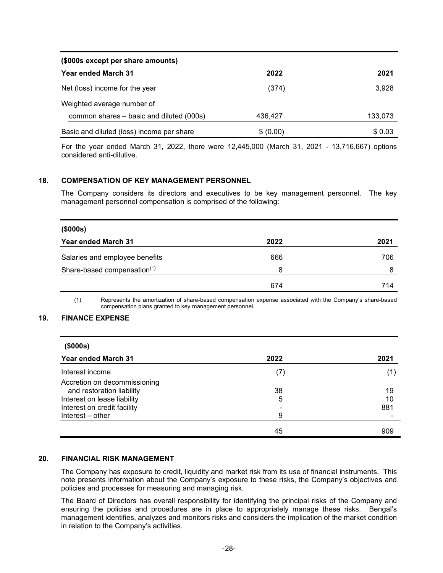| (\$000s except per share amounts)         |           |         |
|-------------------------------------------|-----------|---------|
| <b>Year ended March 31</b>                | 2022      | 2021    |
| Net (loss) income for the year            | (374)     | 3,928   |
| Weighted average number of                |           |         |
| common shares - basic and diluted (000s)  | 436,427   | 133,073 |
| Basic and diluted (loss) income per share | \$ (0.00) | \$0.03  |

For the year ended March 31, 2022, there were 12,445,000 (March 31, 2021 - 13,716,667) options considered anti-dilutive.

## **18. COMPENSATION OF KEY MANAGEMENT PERSONNEL**

The Company considers its directors and executives to be key management personnel. The key management personnel compensation is comprised of the following:

| (\$000s)                                |      |      |
|-----------------------------------------|------|------|
| <b>Year ended March 31</b>              | 2022 | 2021 |
| Salaries and employee benefits          | 666  | 706  |
| Share-based compensation <sup>(1)</sup> | 8    | 8    |
|                                         | 674  | 714  |

(1) Represents the amortization of share-based compensation expense associated with the Company's share-based compensation plans granted to key management personnel.

## **19. FINANCE EXPENSE**

| (\$000s)                     |      |      |  |  |
|------------------------------|------|------|--|--|
| <b>Year ended March 31</b>   | 2022 | 2021 |  |  |
| Interest income              | (7)  |      |  |  |
| Accretion on decommissioning |      |      |  |  |
| and restoration liability    | 38   | 19   |  |  |
| Interest on lease liability  | 5    | 10   |  |  |
| Interest on credit facility  |      | 881  |  |  |
| Interest – other             | 9    |      |  |  |
|                              | 45   | 909  |  |  |

## **20. FINANCIAL RISK MANAGEMENT**

The Company has exposure to credit, liquidity and market risk from its use of financial instruments. This note presents information about the Company's exposure to these risks, the Company's objectives and policies and processes for measuring and managing risk.

The Board of Directors has overall responsibility for identifying the principal risks of the Company and ensuring the policies and procedures are in place to appropriately manage these risks. Bengal's management identifies, analyzes and monitors risks and considers the implication of the market condition in relation to the Company's activities.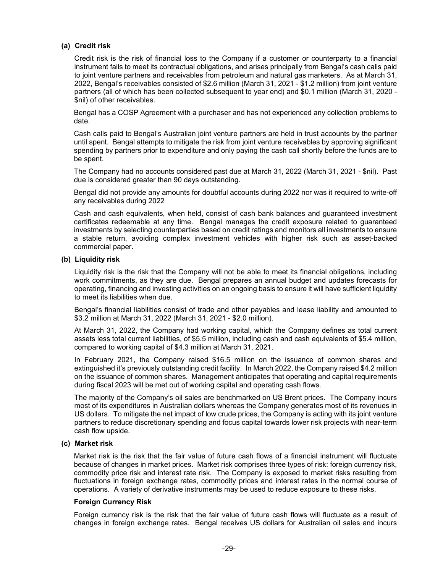## **(a) Credit risk**

Credit risk is the risk of financial loss to the Company if a customer or counterparty to a financial instrument fails to meet its contractual obligations, and arises principally from Bengal's cash calls paid to joint venture partners and receivables from petroleum and natural gas marketers. As at March 31, 2022, Bengal's receivables consisted of \$2.6 million (March 31, 2021 - \$1.2 million) from joint venture partners (all of which has been collected subsequent to year end) and \$0.1 million (March 31, 2020 - \$nil) of other receivables.

Bengal has a COSP Agreement with a purchaser and has not experienced any collection problems to date.

Cash calls paid to Bengal's Australian joint venture partners are held in trust accounts by the partner until spent. Bengal attempts to mitigate the risk from joint venture receivables by approving significant spending by partners prior to expenditure and only paying the cash call shortly before the funds are to be spent.

The Company had no accounts considered past due at March 31, 2022 (March 31, 2021 - \$nil). Past due is considered greater than 90 days outstanding.

Bengal did not provide any amounts for doubtful accounts during 2022 nor was it required to write-off any receivables during 2022

Cash and cash equivalents, when held, consist of cash bank balances and guaranteed investment certificates redeemable at any time. Bengal manages the credit exposure related to guaranteed investments by selecting counterparties based on credit ratings and monitors all investments to ensure a stable return, avoiding complex investment vehicles with higher risk such as asset-backed commercial paper.

## **(b) Liquidity risk**

Liquidity risk is the risk that the Company will not be able to meet its financial obligations, including work commitments, as they are due. Bengal prepares an annual budget and updates forecasts for operating, financing and investing activities on an ongoing basis to ensure it will have sufficient liquidity to meet its liabilities when due.

Bengal's financial liabilities consist of trade and other payables and lease liability and amounted to \$3.2 million at March 31, 2022 (March 31, 2021 - \$2.0 million).

At March 31, 2022, the Company had working capital, which the Company defines as total current assets less total current liabilities, of \$5.5 million, including cash and cash equivalents of \$5.4 million, compared to working capital of \$4.3 million at March 31, 2021.

In February 2021, the Company raised \$16.5 million on the issuance of common shares and extinguished it's previously outstanding credit facility. In March 2022, the Company raised \$4.2 million on the issuance of common shares. Management anticipates that operating and capital requirements during fiscal 2023 will be met out of working capital and operating cash flows.

The majority of the Company's oil sales are benchmarked on US Brent prices. The Company incurs most of its expenditures in Australian dollars whereas the Company generates most of its revenues in US dollars. To mitigate the net impact of low crude prices, the Company is acting with its joint venture partners to reduce discretionary spending and focus capital towards lower risk projects with near-term cash flow upside.

## **(c) Market risk**

Market risk is the risk that the fair value of future cash flows of a financial instrument will fluctuate because of changes in market prices. Market risk comprises three types of risk: foreign currency risk, commodity price risk and interest rate risk. The Company is exposed to market risks resulting from fluctuations in foreign exchange rates, commodity prices and interest rates in the normal course of operations. A variety of derivative instruments may be used to reduce exposure to these risks.

## **Foreign Currency Risk**

Foreign currency risk is the risk that the fair value of future cash flows will fluctuate as a result of changes in foreign exchange rates. Bengal receives US dollars for Australian oil sales and incurs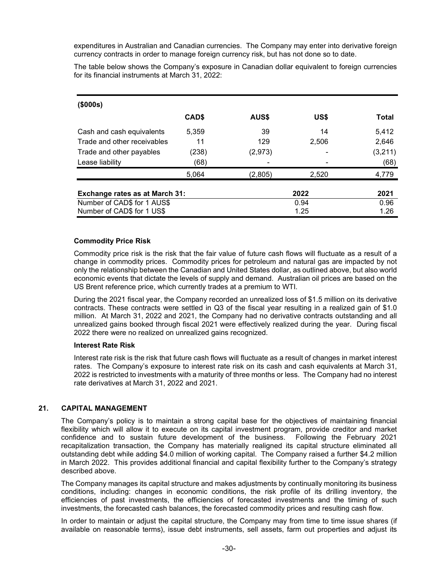expenditures in Australian and Canadian currencies. The Company may enter into derivative foreign currency contracts in order to manage foreign currency risk, but has not done so to date.

The table below shows the Company's exposure in Canadian dollar equivalent to foreign currencies for its financial instruments at March 31, 2022:

| (\$000s)                              |       |         |       |         |
|---------------------------------------|-------|---------|-------|---------|
|                                       | CAD\$ | AUS\$   | US\$  | Total   |
| Cash and cash equivalents             | 5,359 | 39      | 14    | 5,412   |
| Trade and other receivables           | 11    | 129     | 2,506 | 2,646   |
| Trade and other payables              | (238) | (2,973) |       | (3,211) |
| Lease liability                       | (68)  |         |       | (68)    |
|                                       | 5.064 | (2,805) | 2,520 | 4,779   |
| <b>Exchange rates as at March 31:</b> |       |         | 2022  | 2021    |
| Number of CAD\$ for 1 AUS\$           |       | 0.94    |       | 0.96    |
| Number of CAD\$ for 1 US\$            |       |         | 1.25  | 1.26    |

## **Commodity Price Risk**

Commodity price risk is the risk that the fair value of future cash flows will fluctuate as a result of a change in commodity prices. Commodity prices for petroleum and natural gas are impacted by not only the relationship between the Canadian and United States dollar, as outlined above, but also world economic events that dictate the levels of supply and demand. Australian oil prices are based on the US Brent reference price, which currently trades at a premium to WTI.

During the 2021 fiscal year, the Company recorded an unrealized loss of \$1.5 million on its derivative contracts. These contracts were settled in Q3 of the fiscal year resulting in a realized gain of \$1.0 million. At March 31, 2022 and 2021, the Company had no derivative contracts outstanding and all unrealized gains booked through fiscal 2021 were effectively realized during the year. During fiscal 2022 there were no realized on unrealized gains recognized.

## **Interest Rate Risk**

Interest rate risk is the risk that future cash flows will fluctuate as a result of changes in market interest rates. The Company's exposure to interest rate risk on its cash and cash equivalents at March 31, 2022 is restricted to investments with a maturity of three months or less. The Company had no interest rate derivatives at March 31, 2022 and 2021.

## **21. CAPITAL MANAGEMENT**

The Company's policy is to maintain a strong capital base for the objectives of maintaining financial flexibility which will allow it to execute on its capital investment program, provide creditor and market confidence and to sustain future development of the business. Following the February 2021 recapitalization transaction, the Company has materially realigned its capital structure eliminated all outstanding debt while adding \$4.0 million of working capital. The Company raised a further \$4.2 million in March 2022. This provides additional financial and capital flexibility further to the Company's strategy described above.

The Company manages its capital structure and makes adjustments by continually monitoring its business conditions, including: changes in economic conditions, the risk profile of its drilling inventory, the efficiencies of past investments, the efficiencies of forecasted investments and the timing of such investments, the forecasted cash balances, the forecasted commodity prices and resulting cash flow.

In order to maintain or adjust the capital structure, the Company may from time to time issue shares (if available on reasonable terms), issue debt instruments, sell assets, farm out properties and adjust its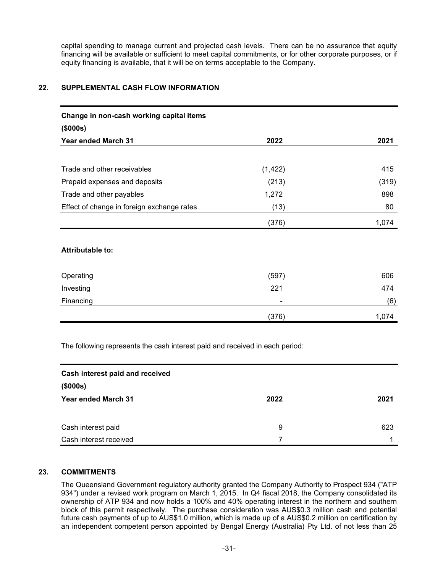capital spending to manage current and projected cash levels. There can be no assurance that equity financing will be available or sufficient to meet capital commitments, or for other corporate purposes, or if equity financing is available, that it will be on terms acceptable to the Company.

## **22. SUPPLEMENTAL CASH FLOW INFORMATION**

| Change in non-cash working capital items   |          |       |
|--------------------------------------------|----------|-------|
| (\$000s)                                   |          |       |
| <b>Year ended March 31</b>                 | 2022     | 2021  |
|                                            |          |       |
| Trade and other receivables                | (1, 422) | 415   |
| Prepaid expenses and deposits              | (213)    | (319) |
| Trade and other payables                   | 1,272    | 898   |
| Effect of change in foreign exchange rates | (13)     | 80    |
|                                            | (376)    | 1,074 |
| <b>Attributable to:</b>                    |          |       |
| Operating                                  | (597)    | 606   |
| Investing                                  | 221      | 474   |
| Financing                                  | -        | (6)   |
|                                            | (376)    | 1,074 |

The following represents the cash interest paid and received in each period:

| Cash interest paid and received<br>(\$000s) |      |      |
|---------------------------------------------|------|------|
| <b>Year ended March 31</b>                  | 2022 | 2021 |
|                                             |      |      |
| Cash interest paid                          | 9    | 623  |
| Cash interest received                      |      |      |

## **23. COMMITMENTS**

The Queensland Government regulatory authority granted the Company Authority to Prospect 934 ("ATP 934") under a revised work program on March 1, 2015. In Q4 fiscal 2018, the Company consolidated its ownership of ATP 934 and now holds a 100% and 40% operating interest in the northern and southern block of this permit respectively. The purchase consideration was AUS\$0.3 million cash and potential future cash payments of up to AUS\$1.0 million, which is made up of a AUS\$0.2 million on certification by an independent competent person appointed by Bengal Energy (Australia) Pty Ltd. of not less than 25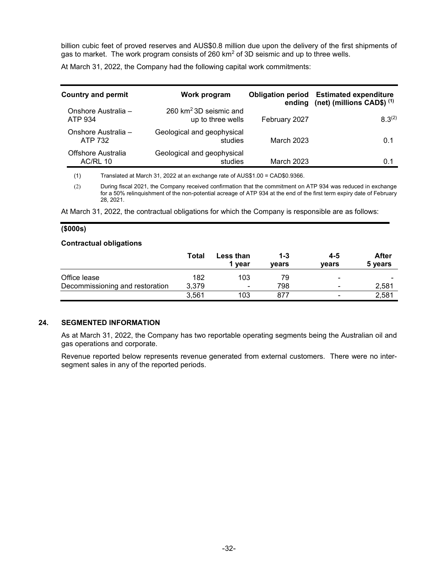billion cubic feet of proved reserves and AUS\$0.8 million due upon the delivery of the first shipments of gas to market. The work program consists of 260 km<sup>2</sup> of 3D seismic and up to three wells.

At March 31, 2022, the Company had the following capital work commitments:

| <b>Country and permit</b>        | Work program                                   | <b>Obligation period</b><br>ending | <b>Estimated expenditure</b><br>(net) (millions CAD\$) (1) |
|----------------------------------|------------------------------------------------|------------------------------------|------------------------------------------------------------|
| Onshore Australia -<br>ATP 934   | 260 $km^2$ 3D seismic and<br>up to three wells | February 2027                      | $8 \cdot 3^{(2)}$                                          |
| Onshore Australia -<br>ATP 732   | Geological and geophysical<br>studies          | March 2023                         | 0.1                                                        |
| Offshore Australia<br>$AC/RL$ 10 | Geological and geophysical<br>studies          | <b>March 2023</b>                  | 0.1                                                        |

(1) Translated at March 31, 2022 at an exchange rate of AUS\$1.00 = CAD\$0.9366.

(2) During fiscal 2021, the Company received confirmation that the commitment on ATP 934 was reduced in exchange for a 50% relinquishment of the non-potential acreage of ATP 934 at the end of the first term expiry date of February 28, 2021.

At March 31, 2022, the contractual obligations for which the Company is responsible are as follows:

## **(\$000s)**

## **Contractual obligations**

|                                 | Total | Less than<br>1 vear | $1 - 3$<br>vears | 4-5<br>vears             | After<br>5 years |
|---------------------------------|-------|---------------------|------------------|--------------------------|------------------|
| Office lease                    | 182   | 103                 | 79               | $\overline{\phantom{0}}$ | $\blacksquare$   |
| Decommissioning and restoration | 3,379 | $\blacksquare$      | 798              | $\overline{\phantom{0}}$ | 2,581            |
|                                 | 3,561 | 103                 | 877              | $\,$                     | 2,581            |

## **24. SEGMENTED INFORMATION**

As at March 31, 2022, the Company has two reportable operating segments being the Australian oil and gas operations and corporate.

Revenue reported below represents revenue generated from external customers. There were no intersegment sales in any of the reported periods.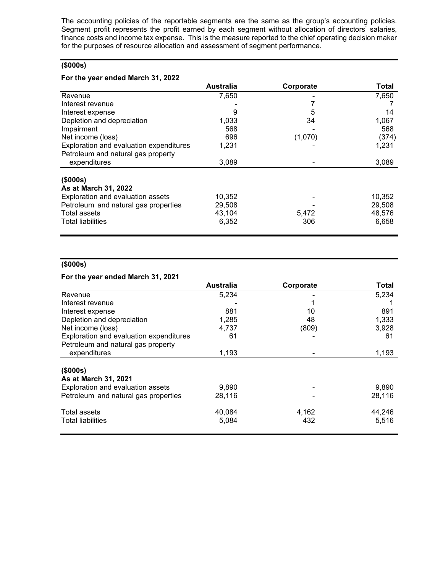The accounting policies of the reportable segments are the same as the group's accounting policies. Segment profit represents the profit earned by each segment without allocation of directors' salaries, finance costs and income tax expense. This is the measure reported to the chief operating decision maker for the purposes of resource allocation and assessment of segment performance.

## **(\$000s)**

#### **For the year ended March 31, 2022**

|                                         | <b>Australia</b> | Corporate | Total  |
|-----------------------------------------|------------------|-----------|--------|
| Revenue                                 | 7,650            |           | 7,650  |
| Interest revenue                        |                  |           |        |
| Interest expense                        | 9                | 5         | 14     |
| Depletion and depreciation              | 1,033            | 34        | 1,067  |
| Impairment                              | 568              |           | 568    |
| Net income (loss)                       | 696              | (1,070)   | (374)  |
| Exploration and evaluation expenditures | 1,231            |           | 1,231  |
| Petroleum and natural gas property      |                  |           |        |
| expenditures                            | 3,089            |           | 3,089  |
| $($ \$000s $)$                          |                  |           |        |
| As at March 31, 2022                    |                  |           |        |
| Exploration and evaluation assets       | 10,352           |           | 10,352 |
| Petroleum and natural gas properties    | 29,508           |           | 29,508 |
| Total assets                            | 43,104           | 5,472     | 48,576 |
| <b>Total liabilities</b>                | 6,352            | 306       | 6,658  |

## **(\$000s)**

#### **For the year ended March 31, 2021**

|                                                                       | <b>Australia</b> | Corporate | <b>Total</b> |
|-----------------------------------------------------------------------|------------------|-----------|--------------|
| Revenue                                                               | 5,234            |           | 5,234        |
| Interest revenue                                                      |                  |           |              |
| Interest expense                                                      | 881              | 10        | 891          |
| Depletion and depreciation                                            | 1,285            | 48        | 1,333        |
| Net income (loss)                                                     | 4.737            | (809)     | 3,928        |
| Exploration and evaluation expenditures                               | 61               |           | 61           |
| Petroleum and natural gas property                                    |                  |           |              |
| expenditures                                                          | 1,193            |           | 1,193        |
| (\$000s)<br>As at March 31, 2021<br>Exploration and evaluation assets | 9,890            |           | 9,890        |
| Petroleum and natural gas properties                                  | 28,116           |           | 28,116       |
|                                                                       |                  |           |              |
| Total assets                                                          | 40,084           | 4,162     | 44,246       |
| <b>Total liabilities</b>                                              | 5,084            | 432       | 5,516        |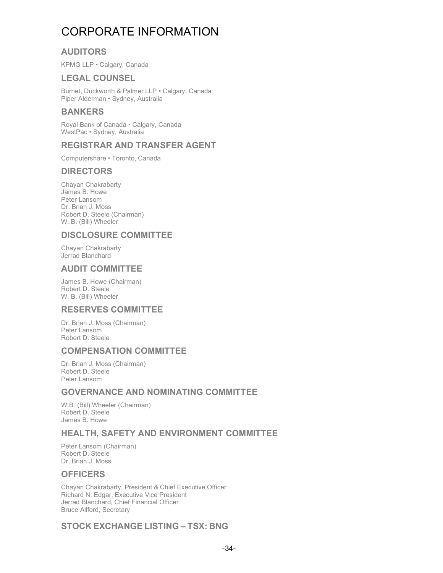## CORPORATE INFORMATION

## **AUDITORS**

KPMG LLP • Calgary, Canada

## **LEGAL COUNSEL**

Burnet, Duckworth & Palmer LLP • Calgary, Canada Piper Alderman • Sydney, Australia

## **BANKERS**

Royal Bank of Canada • Calgary, Canada WestPac • Sydney, Australia

## **REGISTRAR AND TRANSFER AGENT**

Computershare • Toronto, Canada

## **DIRECTORS**

Chayan Chakrabarty James B. Howe Peter Lansom Dr. Brian J. Moss Robert D. Steele (Chairman) W. B. (Bill) Wheeler

## **DISCLOSURE COMMITTEE**

Chayan Chakrabarty Jerrad Blanchard

## **AUDIT COMMITTEE**

James B. Howe (Chairman) Robert D. Steele W. B. (Bill) Wheeler

## **RESERVES COMMITTEE**

Dr. Brian J. Moss (Chairman) Peter Lansom Robert D. Steele

## **COMPENSATION COMMITTEE**

Dr. Brian J. Moss (Chairman) Robert D. Steele Peter Lansom

## **GOVERNANCE AND NOMINATING COMMITTEE**

W.B. (Bill) Wheeler (Chairman) Robert D. Steele James B. Howe

## **HEALTH, SAFETY AND ENVIRONMENT COMMITTEE**

Peter Lansom (Chairman) Robert D. Steele Dr. Brian J. Moss

## **OFFICERS**

Chayan Chakrabarty, President & Chief Executive Officer Richard N. Edgar, Executive Vice President Jerrad Blanchard, Chief Financial Officer Bruce Allford, Secretary

## **STOCK EXCHANGE LISTING – TSX: BNG**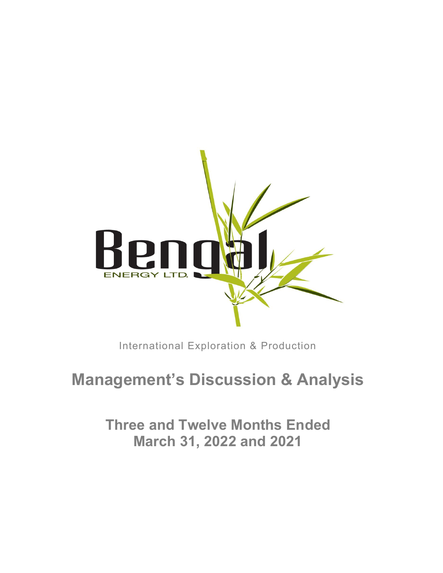

International Exploration & Production

# **Management's Discussion & Analysis**

**Three and Twelve Months Ended March 31, 2022 and 2021**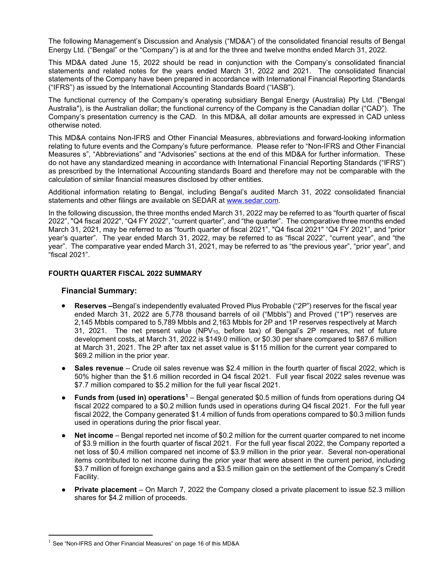The following Management's Discussion and Analysis ("MD&A") of the consolidated financial results of Bengal Energy Ltd. ("Bengal" or the "Company") is at and for the three and twelve months ended March 31, 2022.

This MD&A dated June 15, 2022 should be read in conjunction with the Company's consolidated financial statements and related notes for the years ended March 31, 2022 and 2021. The consolidated financial statements of the Company have been prepared in accordance with International Financial Reporting Standards ("IFRS") as issued by the International Accounting Standards Board ("IASB").

The functional currency of the Company's operating subsidiary Bengal Energy (Australia) Pty Ltd. ("Bengal Australia"), is the Australian dollar; the functional currency of the Company is the Canadian dollar ("CAD"). The Company's presentation currency is the CAD. In this MD&A, all dollar amounts are expressed in CAD unless otherwise noted.

This MD&A contains Non-IFRS and Other Financial Measures, abbreviations and forward-looking information relating to future events and the Company's future performance. Please refer to "Non-IFRS and Other Financial Measures s", "Abbreviations" and "Advisories" sections at the end of this MD&A for further information. These do not have any standardized meaning in accordance with International Financial Reporting Standards ("IFRS") as prescribed by the International Accounting standards Board and therefore may not be comparable with the calculation of similar financial measures disclosed by other entities.

Additional information relating to Bengal, including Bengal's audited March 31, 2022 consolidated financial statements and other filings are available on SEDAR at [www.sedar.com.](http://www.sedar.com/)

In the following discussion, the three months ended March 31, 2022 may be referred to as "fourth quarter of fiscal 2022", "Q4 fiscal 2022", "Q4 FY 2022", "current quarter", and "the quarter". The comparative three months ended March 31, 2021, may be referred to as "fourth quarter of fiscal 2021", "Q4 fiscal 2021" "Q4 FY 2021", and "prior year's quarter". The year ended March 31, 2022, may be referred to as "fiscal 2022", "current year", and "the year". The comparative year ended March 31, 2021, may be referred to as "the previous year", "prior year", and "fiscal 2021".

## **FOURTH QUARTER FISCAL 2022 SUMMARY**

## **Financial Summary:**

- **Reserves –**Bengal's independently evaluated Proved Plus Probable ("2P") reserves for the fiscal year ended March 31, 2022 are 5,778 thousand barrels of oil ("Mbbls") and Proved ("1P") reserves are 2,145 Mbbls compared to 5,789 Mbbls and 2,163 Mbbls for 2P and 1P reserves respectively at March 31, 2021. The net present value (NPV10, before tax) of Bengal's 2P reserves, net of future development costs, at March 31, 2022 is \$149.0 million, or \$0.30 per share compared to \$87.6 million at March 31, 2021. The 2P after tax net asset value is \$115 million for the current year compared to \$69.2 million in the prior year.
- **Sales revenue**  Crude oil sales revenue was \$2.4 million in the fourth quarter of fiscal 2022, which is 50% higher than the \$1.6 million recorded in Q4 fiscal 2021. Full year fiscal 2022 sales revenue was \$7.7 million compared to \$5.2 million for the full year fiscal 2021.
- **Funds from (used in) operations[1](#page-36-0)** Bengal generated \$0.5 million of funds from operations during Q4 fiscal 2022 compared to a \$0.2 million funds used in operations during Q4 fiscal 2021. For the full year fiscal 2022, the Company generated \$1.4 million of funds from operations compared to \$0.3 million funds used in operations during the prior fiscal year.
- **Net income** Bengal reported net income of \$0.2 million for the current quarter compared to net income of \$3.9 million in the fourth quarter of fiscal 2021. For the full year fiscal 2022, the Company reported a net loss of \$0.4 million compared net income of \$3.9 million in the prior year. Several non-operational items contributed to net income during the prior year that were absent in the current period, including \$3.7 million of foreign exchange gains and a \$3.5 million gain on the settlement of the Company's Credit Facility.
- **Private placement** On March 7, 2022 the Company closed a private placement to issue 52.3 million shares for \$4.2 million of proceeds.

<span id="page-36-0"></span> $1$  See "Non-IFRS and Other Financial Measures" on page 16 of this MD&A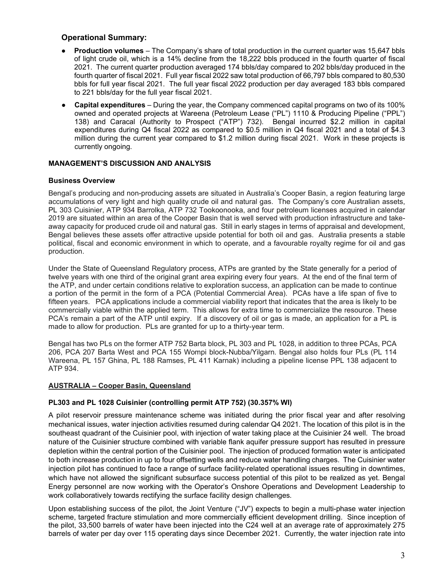## **Operational Summary:**

- **Production volumes** The Company's share of total production in the current quarter was 15,647 bbls of light crude oil, which is a 14% decline from the 18,222 bbls produced in the fourth quarter of fiscal 2021. The current quarter production averaged 174 bbls/day compared to 202 bbls/day produced in the fourth quarter of fiscal 2021. Full year fiscal 2022 saw total production of 66,797 bbls compared to 80,530 bbls for full year fiscal 2021. The full year fiscal 2022 production per day averaged 183 bbls compared to 221 bbls/day for the full year fiscal 2021.
- **Capital expenditures** During the year, the Company commenced capital programs on two of its 100% owned and operated projects at Wareena (Petroleum Lease ("PL") 1110 & Producing Pipeline ("PPL") 138) and Caracal (Authority to Prospect ("ATP") 732). Bengal incurred \$2.2 million in capital expenditures during Q4 fiscal 2022 as compared to \$0.5 million in Q4 fiscal 2021 and a total of \$4.3 million during the current year compared to \$1.2 million during fiscal 2021. Work in these projects is currently ongoing.

## **MANAGEMENT'S DISCUSSION AND ANALYSIS**

## **Business Overview**

Bengal's producing and non-producing assets are situated in Australia's Cooper Basin, a region featuring large accumulations of very light and high quality crude oil and natural gas. The Company's core Australian assets, PL 303 Cuisinier, ATP 934 Barrolka, ATP 732 Tookoonooka, and four petroleum licenses acquired in calendar 2019 are situated within an area of the Cooper Basin that is well served with production infrastructure and takeaway capacity for produced crude oil and natural gas. Still in early stages in terms of appraisal and development, Bengal believes these assets offer attractive upside potential for both oil and gas. Australia presents a stable political, fiscal and economic environment in which to operate, and a favourable royalty regime for oil and gas production.

Under the State of Queensland Regulatory process, ATPs are granted by the State generally for a period of twelve years with one third of the original grant area expiring every four years. At the end of the final term of the ATP, and under certain conditions relative to exploration success, an application can be made to continue a portion of the permit in the form of a PCA (Potential Commercial Area). PCAs have a life span of five to fifteen years. PCA applications include a commercial viability report that indicates that the area is likely to be commercially viable within the applied term. This allows for extra time to commercialize the resource. These PCA's remain a part of the ATP until expiry. If a discovery of oil or gas is made, an application for a PL is made to allow for production. PLs are granted for up to a thirty-year term.

Bengal has two PLs on the former ATP 752 Barta block, PL 303 and PL 1028, in addition to three PCAs, PCA 206, PCA 207 Barta West and PCA 155 Wompi block-Nubba/Yilgarn. Bengal also holds four PLs (PL 114 Wareena, PL 157 Ghina, PL 188 Ramses, PL 411 Karnak) including a pipeline license PPL 138 adjacent to ATP 934.

## **AUSTRALIA – Cooper Basin, Queensland**

## **PL303 and PL 1028 Cuisinier (controlling permit ATP 752) (30.357% WI)**

A pilot reservoir pressure maintenance scheme was initiated during the prior fiscal year and after resolving mechanical issues, water injection activities resumed during calendar Q4 2021. The location of this pilot is in the southeast quadrant of the Cuisinier pool, with injection of water taking place at the Cuisinier 24 well. The broad nature of the Cuisinier structure combined with variable flank aquifer pressure support has resulted in pressure depletion within the central portion of the Cuisinier pool. The injection of produced formation water is anticipated to both increase production in up to four offsetting wells and reduce water handling charges. The Cuisinier water injection pilot has continued to face a range of surface facility-related operational issues resulting in downtimes, which have not allowed the significant subsurface success potential of this pilot to be realized as yet. Bengal Energy personnel are now working with the Operator's Onshore Operations and Development Leadership to work collaboratively towards rectifying the surface facility design challenges.

Upon establishing success of the pilot, the Joint Venture ("JV") expects to begin a multi-phase water injection scheme, targeted fracture stimulation and more commercially efficient development drilling. Since inception of the pilot, 33,500 barrels of water have been injected into the C24 well at an average rate of approximately 275 barrels of water per day over 115 operating days since December 2021. Currently, the water injection rate into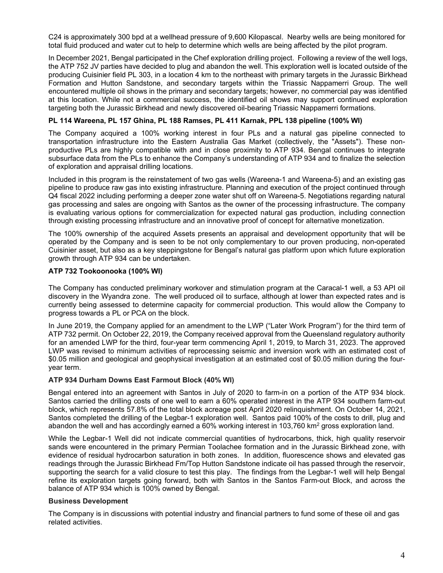C24 is approximately 300 bpd at a wellhead pressure of 9,600 Kilopascal. Nearby wells are being monitored for total fluid produced and water cut to help to determine which wells are being affected by the pilot program.

In December 2021, Bengal participated in the Chef exploration drilling project. Following a review of the well logs, the ATP 752 JV parties have decided to plug and abandon the well. This exploration well is located outside of the producing Cuisinier field PL 303, in a location 4 km to the northeast with primary targets in the Jurassic Birkhead Formation and Hutton Sandstone, and secondary targets within the Triassic Nappamerri Group. The well encountered multiple oil shows in the primary and secondary targets; however, no commercial pay was identified at this location. While not a commercial success, the identified oil shows may support continued exploration targeting both the Jurassic Birkhead and newly discovered oil-bearing Triassic Nappamerri formations.

## **PL 114 Wareena, PL 157 Ghina, PL 188 Ramses, PL 411 Karnak, PPL 138 pipeline (100% WI)**

The Company acquired a 100% working interest in four PLs and a natural gas pipeline connected to transportation infrastructure into the Eastern Australia Gas Market (collectively, the "Assets"). These nonproductive PLs are highly compatible with and in close proximity to ATP 934. Bengal continues to integrate subsurface data from the PLs to enhance the Company's understanding of ATP 934 and to finalize the selection of exploration and appraisal drilling locations.

Included in this program is the reinstatement of two gas wells (Wareena-1 and Wareena-5) and an existing gas pipeline to produce raw gas into existing infrastructure. Planning and execution of the project continued through Q4 fiscal 2022 including performing a deeper zone water shut off on Wareena-5. Negotiations regarding natural gas processing and sales are ongoing with Santos as the owner of the processing infrastructure. The company is evaluating various options for commercialization for expected natural gas production, including connection through existing processing infrastructure and an innovative proof of concept for alternative monetization.

The 100% ownership of the acquired Assets presents an appraisal and development opportunity that will be operated by the Company and is seen to be not only complementary to our proven producing, non-operated Cuisinier asset, but also as a key steppingstone for Bengal's natural gas platform upon which future exploration growth through ATP 934 can be undertaken.

## **ATP 732 Tookoonooka (100% WI)**

The Company has conducted preliminary workover and stimulation program at the Caracal-1 well, a 53 API oil discovery in the Wyandra zone. The well produced oil to surface, although at lower than expected rates and is currently being assessed to determine capacity for commercial production. This would allow the Company to progress towards a PL or PCA on the block.

In June 2019, the Company applied for an amendment to the LWP ("Later Work Program") for the third term of ATP 732 permit. On October 22, 2019, the Company received approval from the Queensland regulatory authority for an amended LWP for the third, four-year term commencing April 1, 2019, to March 31, 2023. The approved LWP was revised to minimum activities of reprocessing seismic and inversion work with an estimated cost of \$0.05 million and geological and geophysical investigation at an estimated cost of \$0.05 million during the fouryear term.

## **ATP 934 Durham Downs East Farmout Block (40% WI)**

Bengal entered into an agreement with Santos in July of 2020 to farm-in on a portion of the ATP 934 block. Santos carried the drilling costs of one well to earn a 60% operated interest in the ATP 934 southern farm-out block, which represents 57.8% of the total block acreage post April 2020 relinquishment. On October 14, 2021, Santos completed the drilling of the Legbar-1 exploration well. Santos paid 100% of the costs to drill, plug and abandon the well and has accordingly earned a 60% working interest in 103,760 km<sup>2</sup> gross exploration land.

While the Legbar-1 Well did not indicate commercial quantities of hydrocarbons, thick, high quality reservoir sands were encountered in the primary Permian Toolachee formation and in the Jurassic Birkhead zone, with evidence of residual hydrocarbon saturation in both zones. In addition, fluorescence shows and elevated gas readings through the Jurassic Birkhead Fm/Top Hutton Sandstone indicate oil has passed through the reservoir, supporting the search for a valid closure to test this play. The findings from the Legbar-1 well will help Bengal refine its exploration targets going forward, both with Santos in the Santos Farm-out Block, and across the balance of ATP 934 which is 100% owned by Bengal.

## **Business Development**

The Company is in discussions with potential industry and financial partners to fund some of these oil and gas related activities.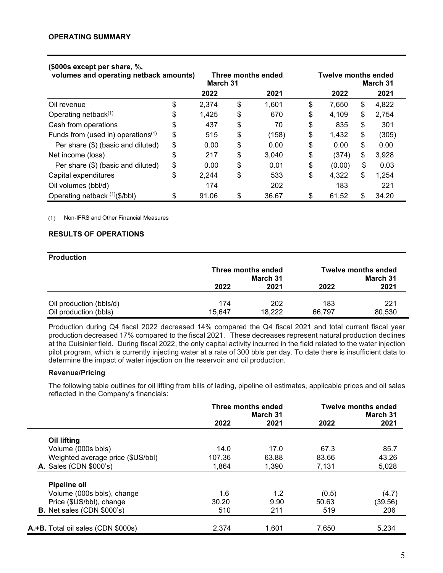| $(40000$ calcept por strate, $70,$<br>volumes and operating netback amounts) | March 31    | Three months ended | <b>Twelve months ended</b> | March 31    |  |
|------------------------------------------------------------------------------|-------------|--------------------|----------------------------|-------------|--|
|                                                                              | 2022        | 2021               | 2022                       | 2021        |  |
| Oil revenue                                                                  | \$<br>2,374 | \$<br>1,601        | \$<br>7,650                | \$<br>4,822 |  |
| Operating netback <sup>(1)</sup>                                             | \$<br>1,425 | \$<br>670          | \$<br>4.109                | \$<br>2,754 |  |
| Cash from operations                                                         | \$<br>437   | \$<br>70           | \$<br>835                  | \$<br>301   |  |
| Funds from (used in) operations <sup>(1)</sup>                               | \$<br>515   | \$<br>(158)        | \$<br>1,432                | \$<br>(305) |  |
| Per share (\$) (basic and diluted)                                           | \$<br>0.00  | \$<br>0.00         | \$<br>0.00                 | \$<br>0.00  |  |
| Net income (loss)                                                            | \$<br>217   | \$<br>3,040        | \$<br>(374)                | \$<br>3,928 |  |
| Per share (\$) (basic and diluted)                                           | \$<br>0.00  | \$<br>0.01         | \$<br>(0.00)               | \$<br>0.03  |  |
| Capital expenditures                                                         | \$<br>2,244 | \$<br>533          | \$<br>4,322                | \$<br>1,254 |  |
| Oil volumes (bbl/d)                                                          | 174         | 202                | 183                        | 221         |  |
| Operating netback (1)(\$/bbl)                                                | \$<br>91.06 | \$<br>36.67        | \$<br>61.52                | \$<br>34.20 |  |

## **(\$000s except per share, %,**

Non-IFRS and Other Financial Measures

## **RESULTS OF OPERATIONS**

| <b>Production</b>                                |               |                                |               |                                        |  |  |
|--------------------------------------------------|---------------|--------------------------------|---------------|----------------------------------------|--|--|
|                                                  |               | Three months ended<br>March 31 |               | <b>Twelve months ended</b><br>March 31 |  |  |
|                                                  | 2022          | 2021                           | 2022          | 2021                                   |  |  |
| Oil production (bbls/d)<br>Oil production (bbls) | 174<br>15.647 | 202<br>18,222                  | 183<br>66.797 | 221<br>80,530                          |  |  |

Production during Q4 fiscal 2022 decreased 14% compared the Q4 fiscal 2021 and total current fiscal year production decreased 17% compared to the fiscal 2021. These decreases represent natural production declines at the Cuisinier field. During fiscal 2022, the only capital activity incurred in the field related to the water injection pilot program, which is currently injecting water at a rate of 300 bbls per day. To date there is insufficient data to determine the impact of water injection on the reservoir and oil production.

## **Revenue/Pricing**

The following table outlines for oil lifting from bills of lading, pipeline oil estimates, applicable prices and oil sales reflected in the Company's financials:

|                                           | Three months ended<br>March 31 |       | <b>Twelve months ended</b><br>March 31 |         |
|-------------------------------------------|--------------------------------|-------|----------------------------------------|---------|
|                                           | 2022                           | 2021  | 2022                                   | 2021    |
| <b>Oil lifting</b>                        |                                |       |                                        |         |
| Volume (000s bbls)                        | 14.0                           | 17.0  | 67.3                                   | 85.7    |
| Weighted average price (\$US/bbl)         | 107.36                         | 63.88 | 83.66                                  | 43.26   |
| <b>A.</b> Sales (CDN \$000's)             | 1,864                          | 1,390 | 7,131                                  | 5,028   |
| Pipeline oil                              |                                |       |                                        |         |
| Volume (000s bbls), change                | 1.6                            | 1.2   | (0.5)                                  | (4.7)   |
| Price (\$US/bbl), change                  | 30.20                          | 9.90  | 50.63                                  | (39.56) |
| <b>B.</b> Net sales (CDN \$000's)         | 510                            | 211   | 519                                    | 206     |
| <b>A.+B.</b> Total oil sales (CDN \$000s) | 2,374                          | 1.601 | 7,650                                  | 5.234   |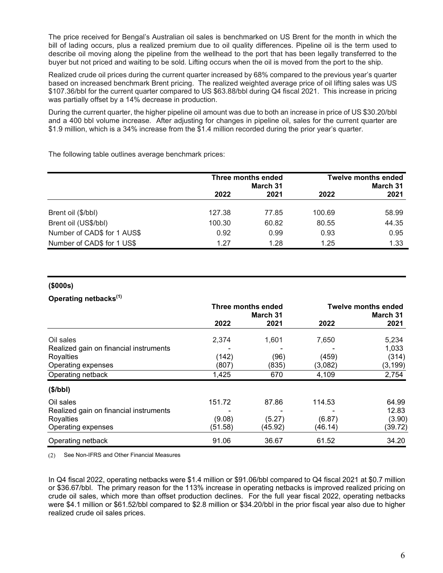The price received for Bengal's Australian oil sales is benchmarked on US Brent for the month in which the bill of lading occurs, plus a realized premium due to oil quality differences. Pipeline oil is the term used to describe oil moving along the pipeline from the wellhead to the port that has been legally transferred to the buyer but not priced and waiting to be sold. Lifting occurs when the oil is moved from the port to the ship.

Realized crude oil prices during the current quarter increased by 68% compared to the previous year's quarter based on increased benchmark Brent pricing. The realized weighted average price of oil lifting sales was US \$107.36/bbl for the current quarter compared to US \$63.88/bbl during Q4 fiscal 2021. This increase in pricing was partially offset by a 14% decrease in production.

During the current quarter, the higher pipeline oil amount was due to both an increase in price of US \$30.20/bbl and a 400 bbl volume increase. After adjusting for changes in pipeline oil, sales for the current quarter are \$1.9 million, which is a 34% increase from the \$1.4 million recorded during the prior year's quarter.

The following table outlines average benchmark prices:

|                             | Three months ended<br>March 31 |       | <b>Twelve months ended</b><br>March 31 |       |  |
|-----------------------------|--------------------------------|-------|----------------------------------------|-------|--|
|                             | 2022                           | 2021  | 2022                                   | 2021  |  |
| Brent oil (\$/bbl)          | 127.38                         | 77.85 | 100.69                                 | 58.99 |  |
| Brent oil (US\$/bbl)        | 100.30                         | 60.82 | 80.55                                  | 44.35 |  |
| Number of CAD\$ for 1 AUS\$ | 0.92                           | 0.99  | 0.93                                   | 0.95  |  |
| Number of CAD\$ for 1 US\$  | 1.27                           | 1.28  | 1.25                                   | 1.33  |  |

## **(\$000s)**

## **Operating netbacks(1)**

|                                        | Three months ended<br>March 31 |         |         | <b>Twelve months ended</b><br>March 31 |  |
|----------------------------------------|--------------------------------|---------|---------|----------------------------------------|--|
|                                        | 2022                           | 2021    | 2022    | 2021                                   |  |
| Oil sales                              | 2,374                          | 1,601   | 7,650   | 5,234                                  |  |
| Realized gain on financial instruments |                                |         |         | 1,033                                  |  |
| Royalties                              | (142)                          | (96)    | (459)   | (314)                                  |  |
| Operating expenses                     | (807)                          | (835)   | (3,082) | (3, 199)                               |  |
| Operating netback                      | 1,425                          | 670     | 4,109   | 2,754                                  |  |
| (\$/bbl)                               |                                |         |         |                                        |  |
| Oil sales                              | 151.72                         | 87.86   | 114.53  | 64.99                                  |  |
| Realized gain on financial instruments |                                |         |         | 12.83                                  |  |
| Royalties                              | (9.08)                         | (5.27)  | (6.87)  | (3.90)                                 |  |
| Operating expenses                     | (51.58)                        | (45.92) | (46.14) | (39.72)                                |  |
| Operating netback                      | 91.06                          | 36.67   | 61.52   | 34.20                                  |  |

See Non-IFRS and Other Financial Measures  $(2)$ 

In Q4 fiscal 2022, operating netbacks were \$1.4 million or \$91.06/bbl compared to Q4 fiscal 2021 at \$0.7 million or \$36.67/bbl. The primary reason for the 113% increase in operating netbacks is improved realized pricing on crude oil sales, which more than offset production declines. For the full year fiscal 2022, operating netbacks were \$4.1 million or \$61.52/bbl compared to \$2.8 million or \$34.20/bbl in the prior fiscal year also due to higher realized crude oil sales prices.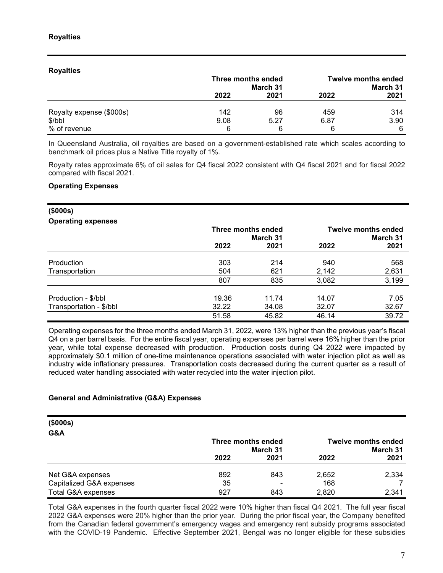| <b>Royalties</b>         |      | Three months ended<br>March 31 |      | <b>Twelve months ended</b><br>March 31 |
|--------------------------|------|--------------------------------|------|----------------------------------------|
|                          | 2022 | 2021                           | 2022 | 2021                                   |
| Royalty expense (\$000s) | 142  | 96                             | 459  | 314                                    |
| \$/bbl                   | 9.08 | 5.27                           | 6.87 | 3.90                                   |
| % of revenue             | 6    | 6                              | 6    | 6                                      |

In Queensland Australia, oil royalties are based on a government-established rate which scales according to benchmark oil prices plus a Native Title royalty of 1%.

Royalty rates approximate 6% of oil sales for Q4 fiscal 2022 consistent with Q4 fiscal 2021 and for fiscal 2022 compared with fiscal 2021.

## **Operating Expenses**

## **(\$000s) Operating expenses Three months ended Twelve months ended March 31 March 31 2022 2021 2022 2021** Production 303 214 940 568 Transportation 504 621 2,142 2,631 807 835 3,082 3,199 Production - \$/bbl 19.36 11.74 14.07 7.05 Transportation - \$/bbl 32.22 34.08 32.07 32.67 51.58 45.82 46.14 39.72

Operating expenses for the three months ended March 31, 2022, were 13% higher than the previous year's fiscal Q4 on a per barrel basis. For the entire fiscal year, operating expenses per barrel were 16% higher than the prior year, while total expense decreased with production. Production costs during Q4 2022 were impacted by approximately \$0.1 million of one-time maintenance operations associated with water injection pilot as well as industry wide inflationary pressures. Transportation costs decreased during the current quarter as a result of reduced water handling associated with water recycled into the water injection pilot.

## **General and Administrative (G&A) Expenses**

| (\$000s)                 |      |                                |       |                                        |
|--------------------------|------|--------------------------------|-------|----------------------------------------|
| G&A                      |      |                                |       |                                        |
|                          |      | Three months ended<br>March 31 |       | <b>Twelve months ended</b><br>March 31 |
|                          | 2022 | 2021                           | 2022  | 2021                                   |
| Net G&A expenses         | 892  | 843                            | 2,652 | 2,334                                  |
| Capitalized G&A expenses | 35   | $\blacksquare$                 | 168   |                                        |
| Total G&A expenses       | 927  | 843                            | 2,820 | 2,341                                  |

Total G&A expenses in the fourth quarter fiscal 2022 were 10% higher than fiscal Q4 2021. The full year fiscal 2022 G&A expenses were 20% higher than the prior year. During the prior fiscal year, the Company benefited from the Canadian federal government's emergency wages and emergency rent subsidy programs associated with the COVID-19 Pandemic. Effective September 2021, Bengal was no longer eligible for these subsidies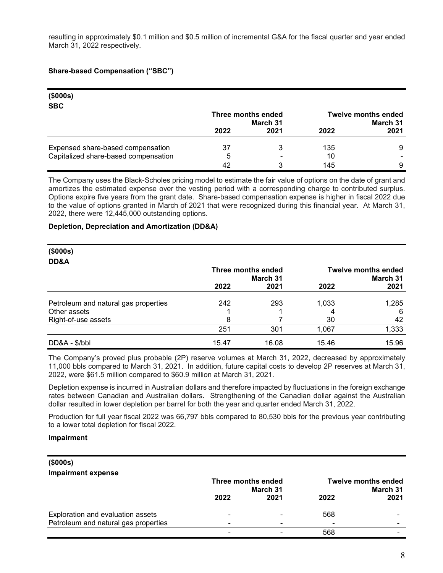resulting in approximately \$0.1 million and \$0.5 million of incremental G&A for the fiscal quarter and year ended March 31, 2022 respectively.

## **Share-based Compensation ("SBC")**

| (\$000s)<br><b>SBC</b>               |      |                                |      |                                        |
|--------------------------------------|------|--------------------------------|------|----------------------------------------|
|                                      |      | Three months ended<br>March 31 |      | <b>Twelve months ended</b><br>March 31 |
|                                      | 2022 | 2021                           | 2022 | 2021                                   |
| Expensed share-based compensation    | 37   | 3                              | 135  | 9                                      |
| Capitalized share-based compensation | 5    |                                | 10   |                                        |
|                                      | 42   | 3                              | 145  | 9                                      |

The Company uses the Black-Scholes pricing model to estimate the fair value of options on the date of grant and amortizes the estimated expense over the vesting period with a corresponding charge to contributed surplus. Options expire five years from the grant date. Share-based compensation expense is higher in fiscal 2022 due to the value of options granted in March of 2021 that were recognized during this financial year. At March 31, 2022, there were 12,445,000 outstanding options.

## **Depletion, Depreciation and Amortization (DD&A)**

| (\$000s)<br>DD&A                     |       |                                |       |                                        |
|--------------------------------------|-------|--------------------------------|-------|----------------------------------------|
|                                      |       | Three months ended<br>March 31 |       | <b>Twelve months ended</b><br>March 31 |
|                                      | 2022  | 2021                           | 2022  | 2021                                   |
| Petroleum and natural gas properties | 242   | 293                            | 1,033 | 1,285                                  |
| Other assets                         |       |                                |       | 6                                      |
| Right-of-use assets                  | 8     |                                | 30    | 42                                     |
|                                      | 251   | 301                            | 1,067 | 1,333                                  |
| DD&A - \$/bbl                        | 15.47 | 16.08                          | 15.46 | 15.96                                  |

The Company's proved plus probable (2P) reserve volumes at March 31, 2022, decreased by approximately 11,000 bbls compared to March 31, 2021. In addition, future capital costs to develop 2P reserves at March 31, 2022, were \$61.5 million compared to \$60.9 million at March 31, 2021.

Depletion expense is incurred in Australian dollars and therefore impacted by fluctuations in the foreign exchange rates between Canadian and Australian dollars. Strengthening of the Canadian dollar against the Australian dollar resulted in lower depletion per barrel for both the year and quarter ended March 31, 2022.

Production for full year fiscal 2022 was 66,797 bbls compared to 80,530 bbls for the previous year contributing to a lower total depletion for fiscal 2022.

## **Impairment**

#### **(\$000s) Impairment expense**

| <u>IIIIpalrinent expense</u>         | Three months ended<br>March 31 |      | <b>Twelve months ended</b><br>March 31 |      |
|--------------------------------------|--------------------------------|------|----------------------------------------|------|
|                                      | 2022                           | 2021 | 2022                                   | 2021 |
| Exploration and evaluation assets    |                                |      | 568                                    |      |
| Petroleum and natural gas properties | -                              | -    |                                        |      |
|                                      |                                |      | 568                                    |      |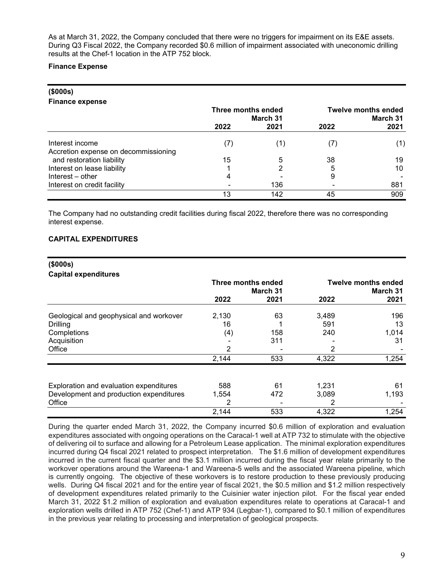As at March 31, 2022, the Company concluded that there were no triggers for impairment on its E&E assets. During Q3 Fiscal 2022, the Company recorded \$0.6 million of impairment associated with uneconomic drilling results at the Chef-1 location in the ATP 752 block.

## **Finance Expense**

| (\$000s)                             |                    |          |      |                                        |
|--------------------------------------|--------------------|----------|------|----------------------------------------|
| <b>Finance expense</b>               |                    |          |      |                                        |
|                                      | Three months ended | March 31 |      | <b>Twelve months ended</b><br>March 31 |
|                                      | 2022               | 2021     | 2022 | 2021                                   |
| Interest income                      | $\left( 7\right)$  | (1)      |      | (1)                                    |
| Accretion expense on decommissioning |                    |          |      |                                        |
| and restoration liability            | 15                 | 5        | 38   | 19                                     |
| Interest on lease liability          |                    | 2        | 5    | 10                                     |
| Interest – other                     | 4                  |          | 9    |                                        |
| Interest on credit facility          |                    | 136      |      | 881                                    |
|                                      | 13                 | 142      | 45   | 909                                    |

The Company had no outstanding credit facilities during fiscal 2022, therefore there was no corresponding interest expense.

## **CAPITAL EXPENDITURES**

## **(\$000s)**

## **Capital expenditures**

| - - - - - - - - - - - - - - - - - - -   | Three months ended<br>March 31 |      |       | <b>Twelve months ended</b><br>March 31 |
|-----------------------------------------|--------------------------------|------|-------|----------------------------------------|
|                                         | 2022                           | 2021 | 2022  | 2021                                   |
| Geological and geophysical and workover | 2,130                          | 63   | 3,489 | 196                                    |
| <b>Drilling</b>                         | 16                             |      | 591   | 13                                     |
| Completions                             | (4)                            | 158  | 240   | 1,014                                  |
| Acquisition                             |                                | 311  |       | 31                                     |
| Office                                  | 2                              |      | 2     |                                        |
|                                         | 2,144                          | 533  | 4,322 | 1,254                                  |
| Exploration and evaluation expenditures | 588                            | 61   | 1.231 | 61                                     |
| Development and production expenditures | 1.554                          | 472  | 3,089 | 1,193                                  |
| Office                                  | 2                              |      | 2     |                                        |
|                                         | 2,144                          | 533  | 4,322 | 1,254                                  |

During the quarter ended March 31, 2022, the Company incurred \$0.6 million of exploration and evaluation expenditures associated with ongoing operations on the Caracal-1 well at ATP 732 to stimulate with the objective of delivering oil to surface and allowing for a Petroleum Lease application. The minimal exploration expenditures incurred during Q4 fiscal 2021 related to prospect interpretation. The \$1.6 million of development expenditures incurred in the current fiscal quarter and the \$3.1 million incurred during the fiscal year relate primarily to the workover operations around the Wareena-1 and Wareena-5 wells and the associated Wareena pipeline, which is currently ongoing. The objective of these workovers is to restore production to these previously producing wells. During Q4 fiscal 2021 and for the entire year of fiscal 2021, the \$0.5 million and \$1.2 million respectively of development expenditures related primarily to the Cuisinier water injection pilot. For the fiscal year ended March 31, 2022 \$1.2 million of exploration and evaluation expenditures relate to operations at Caracal-1 and exploration wells drilled in ATP 752 (Chef-1) and ATP 934 (Legbar-1), compared to \$0.1 million of expenditures in the previous year relating to processing and interpretation of geological prospects.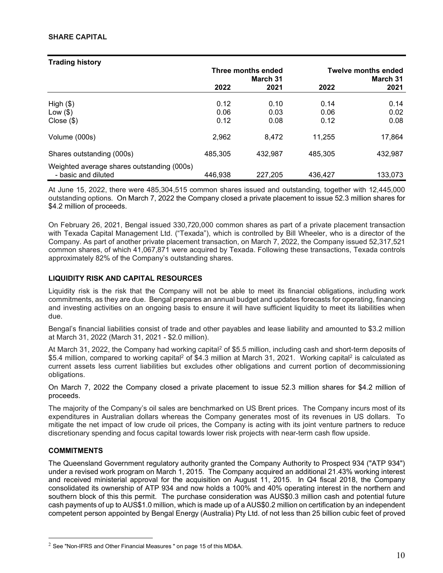| <b>Trading history</b>                                            |         |                                |                                        |         |  |  |  |
|-------------------------------------------------------------------|---------|--------------------------------|----------------------------------------|---------|--|--|--|
|                                                                   |         | Three months ended<br>March 31 | <b>Twelve months ended</b><br>March 31 |         |  |  |  |
|                                                                   | 2022    | 2021                           | 2022                                   | 2021    |  |  |  |
| High (\$)                                                         | 0.12    | 0.10                           | 0.14                                   | 0.14    |  |  |  |
| Low(\$)                                                           | 0.06    | 0.03                           | 0.06                                   | 0.02    |  |  |  |
| Close ( \$)                                                       | 0.12    | 0.08                           | 0.12                                   | 0.08    |  |  |  |
| Volume (000s)                                                     | 2,962   | 8.472                          | 11.255                                 | 17,864  |  |  |  |
| Shares outstanding (000s)                                         | 485,305 | 432,987                        | 485,305                                | 432,987 |  |  |  |
| Weighted average shares outstanding (000s)<br>- basic and diluted | 446,938 | 227,205                        | 436,427                                | 133,073 |  |  |  |

At June 15, 2022, there were 485,304,515 common shares issued and outstanding, together with 12,445,000 outstanding options. On March 7, 2022 the Company closed a private placement to issue 52.3 million shares for \$4.2 million of proceeds.

On February 26, 2021, Bengal issued 330,720,000 common shares as part of a private placement transaction with Texada Capital Management Ltd. ("Texada"), which is controlled by Bill Wheeler, who is a director of the Company. As part of another private placement transaction, on March 7, 2022, the Company issued 52,317,521 common shares, of which 41,067,871 were acquired by Texada. Following these transactions, Texada controls approximately 82% of the Company's outstanding shares.

## **LIQUIDITY RISK AND CAPITAL RESOURCES**

Liquidity risk is the risk that the Company will not be able to meet its financial obligations, including work commitments, as they are due. Bengal prepares an annual budget and updates forecasts for operating, financing and investing activities on an ongoing basis to ensure it will have sufficient liquidity to meet its liabilities when due.

Bengal's financial liabilities consist of trade and other payables and lease liability and amounted to \$3.2 million at March 31, 2022 (March 31, 2021 - \$2.0 million).

At March 31, [2](#page-44-0)022, the Company had working capital<sup>2</sup> of \$5.5 million, including cash and short-term deposits of \$5.4 million, compared to working capital<sup>2</sup> of \$4.3 million at March 31, 2021. Working capital<sup>2</sup> is calculated as current assets less current liabilities but excludes other obligations and current portion of decommissioning obligations.

On March 7, 2022 the Company closed a private placement to issue 52.3 million shares for \$4.2 million of proceeds.

The majority of the Company's oil sales are benchmarked on US Brent prices. The Company incurs most of its expenditures in Australian dollars whereas the Company generates most of its revenues in US dollars. To mitigate the net impact of low crude oil prices, the Company is acting with its joint venture partners to reduce discretionary spending and focus capital towards lower risk projects with near-term cash flow upside.

## **COMMITMENTS**

The Queensland Government regulatory authority granted the Company Authority to Prospect 934 ("ATP 934") under a revised work program on March 1, 2015. The Company acquired an additional 21.43% working interest and received ministerial approval for the acquisition on August 11, 2015. In Q4 fiscal 2018, the Company consolidated its ownership of ATP 934 and now holds a 100% and 40% operating interest in the northern and southern block of this this permit. The purchase consideration was AUS\$0.3 million cash and potential future cash payments of up to AUS\$1.0 million, which is made up of a AUS\$0.2 million on certification by an independent competent person appointed by Bengal Energy (Australia) Pty Ltd. of not less than 25 billion cubic feet of proved

<span id="page-44-0"></span> $2$  See "Non-IFRS and Other Financial Measures" on page 15 of this MD&A.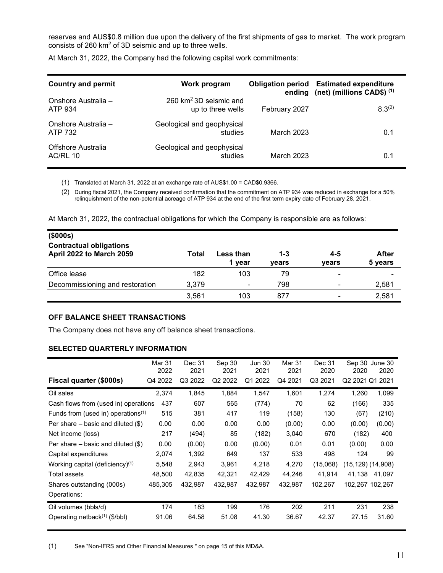reserves and AUS\$0.8 million due upon the delivery of the first shipments of gas to market. The work program consists of 260 km<sup>2</sup> of 3D seismic and up to three wells.

| <b>Country and permit</b>             | Work program                                   |                   | <b>Obligation period Estimated expenditure</b><br>ending (net) (millions CAD\$) <sup>(1)</sup> |
|---------------------------------------|------------------------------------------------|-------------------|------------------------------------------------------------------------------------------------|
| Onshore Australia -<br>ATP 934        | 260 $km^2$ 3D seismic and<br>up to three wells | February 2027     | $8.3^{(2)}$                                                                                    |
| Onshore Australia -<br>ATP 732        | Geological and geophysical<br>studies          | March 2023        | 0.1                                                                                            |
| Offshore Australia<br><b>AC/RL 10</b> | Geological and geophysical<br>studies          | <b>March 2023</b> | 0.1                                                                                            |

At March 31, 2022, the Company had the following capital work commitments:

(1) Translated at March 31, 2022 at an exchange rate of AUS\$1.00 = CAD\$0.9366.

(2) During fiscal 2021, the Company received confirmation that the commitment on ATP 934 was reduced in exchange for a 50% relinquishment of the non-potential acreage of ATP 934 at the end of the first term expiry date of February 28, 2021.

|--|

| (\$000s)<br><b>Contractual obligations</b><br><b>April 2022 to March 2059</b> | Total | Less than      | $1 - 3$ | 4-5   | After   |
|-------------------------------------------------------------------------------|-------|----------------|---------|-------|---------|
|                                                                               |       | 1 year         | vears   | vears | 5 years |
| Office lease                                                                  | 182   | 103            | 79      | ۰     |         |
| Decommissioning and restoration                                               | 3,379 | $\blacksquare$ | 798     |       | 2,581   |
|                                                                               | 3.561 | 103            | 877     |       | 2,581   |

## **OFF BALANCE SHEET TRANSACTIONS**

The Company does not have any off balance sheet transactions.

## **SELECTED QUARTERLY INFORMATION**

|                                           | Mar 31<br>2022 | Dec 31<br>2021 | Sep 30<br>2021      | <b>Jun 30</b><br>2021 | Mar 31<br>2021 | Dec 31<br>2020 | 2020                                    | Sep 30 June 30<br>2020 |
|-------------------------------------------|----------------|----------------|---------------------|-----------------------|----------------|----------------|-----------------------------------------|------------------------|
| Fiscal quarter (\$000s)                   | Q4 2022        | Q3 2022        | Q <sub>2</sub> 2022 | Q1 2022               | Q4 2021        | Q3 2021        | Q <sub>2</sub> 2021 Q <sub>1</sub> 2021 |                        |
| Oil sales                                 | 2,374          | 1,845          | 1,884               | 1,547                 | 1,601          | 1,274          | 1,260                                   | 1,099                  |
| Cash flows from (used in) operations      | 437            | 607            | 565                 | (774)                 | 70             | 62             | (166)                                   | 335                    |
| Funds from (used in) operations $(1)$     | 515            | 381            | 417                 | 119                   | (158)          | 130            | (67)                                    | (210)                  |
| Per share $-$ basic and diluted $(\$)$    | 0.00           | 0.00           | 0.00                | 0.00                  | (0.00)         | 0.00           | (0.00)                                  | (0.00)                 |
| Net income (loss)                         | 217            | (494)          | 85                  | (182)                 | 3,040          | 670            | (182)                                   | 400                    |
| Per share $-$ basic and diluted $(\$)$    | 0.00           | (0.00)         | 0.00                | (0.00)                | 0.01           | 0.01           | (0.00)                                  | 0.00                   |
| Capital expenditures                      | 2,074          | 1,392          | 649                 | 137                   | 533            | 498            | 124                                     | 99                     |
| Working capital (deficiency) $(1)$        | 5,548          | 2,943          | 3,961               | 4,218                 | 4,270          | (15,068)       | $(15, 129)$ $(14, 908)$                 |                        |
| Total assets                              | 48,500         | 42,835         | 42,321              | 42,429                | 44,246         | 41,914         | 41,138                                  | 41,097                 |
| Shares outstanding (000s)                 | 485,305        | 432,987        | 432,987             | 432,987               | 432,987        | 102,267        | 102,267 102,267                         |                        |
| Operations:                               |                |                |                     |                       |                |                |                                         |                        |
| Oil volumes (bbls/d)                      | 174            | 183            | 199                 | 176                   | 202            | 211            | 231                                     | 238                    |
| Operating netback <sup>(1)</sup> (\$/bbl) | 91.06          | 64.58          | 51.08               | 41.30                 | 36.67          | 42.37          | 27.15                                   | 31.60                  |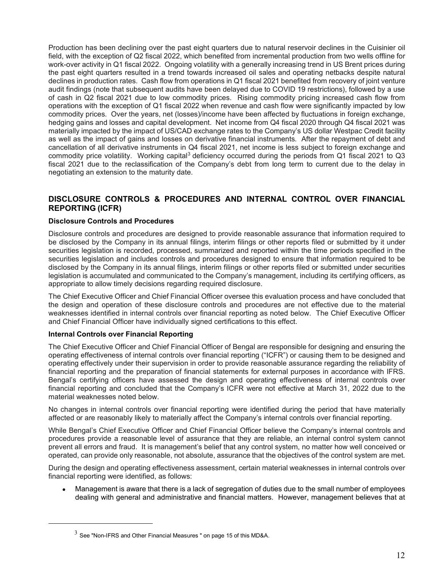Production has been declining over the past eight quarters due to natural reservoir declines in the Cuisinier oil field, with the exception of Q2 fiscal 2022, which benefited from incremental production from two wells offline for work-over activity in Q1 fiscal 2022. Ongoing volatility with a generally increasing trend in US Brent prices during the past eight quarters resulted in a trend towards increased oil sales and operating netbacks despite natural declines in production rates. Cash flow from operations in Q1 fiscal 2021 benefited from recovery of joint venture audit findings (note that subsequent audits have been delayed due to COVID 19 restrictions), followed by a use of cash in Q2 fiscal 2021 due to low commodity prices. Rising commodity pricing increased cash flow from operations with the exception of Q1 fiscal 2022 when revenue and cash flow were significantly impacted by low commodity prices. Over the years, net (losses)/income have been affected by fluctuations in foreign exchange, hedging gains and losses and capital development. Net income from Q4 fiscal 2020 through Q4 fiscal 2021 was materially impacted by the impact of US/CAD exchange rates to the Company's US dollar Westpac Credit facility as well as the impact of gains and losses on derivative financial instruments. After the repayment of debt and cancellation of all derivative instruments in Q4 fiscal 2021, net income is less subject to foreign exchange and commodity price volatility. Working capital<sup>[3](#page-46-0)</sup> deficiency occurred during the periods from Q1 fiscal 2021 to Q3 fiscal 2021 due to the reclassification of the Company's debt from long term to current due to the delay in negotiating an extension to the maturity date.

## **DISCLOSURE CONTROLS & PROCEDURES AND INTERNAL CONTROL OVER FINANCIAL REPORTING (ICFR)**

## **Disclosure Controls and Procedures**

Disclosure controls and procedures are designed to provide reasonable assurance that information required to be disclosed by the Company in its annual filings, interim filings or other reports filed or submitted by it under securities legislation is recorded, processed, summarized and reported within the time periods specified in the securities legislation and includes controls and procedures designed to ensure that information required to be disclosed by the Company in its annual filings, interim filings or other reports filed or submitted under securities legislation is accumulated and communicated to the Company's management, including its certifying officers, as appropriate to allow timely decisions regarding required disclosure.

The Chief Executive Officer and Chief Financial Officer oversee this evaluation process and have concluded that the design and operation of these disclosure controls and procedures are not effective due to the material weaknesses identified in internal controls over financial reporting as noted below. The Chief Executive Officer and Chief Financial Officer have individually signed certifications to this effect.

## **Internal Controls over Financial Reporting**

The Chief Executive Officer and Chief Financial Officer of Bengal are responsible for designing and ensuring the operating effectiveness of internal controls over financial reporting ("ICFR") or causing them to be designed and operating effectively under their supervision in order to provide reasonable assurance regarding the reliability of financial reporting and the preparation of financial statements for external purposes in accordance with IFRS. Bengal's certifying officers have assessed the design and operating effectiveness of internal controls over financial reporting and concluded that the Company's ICFR were not effective at March 31, 2022 due to the material weaknesses noted below.

No changes in internal controls over financial reporting were identified during the period that have materially affected or are reasonably likely to materially affect the Company's internal controls over financial reporting.

While Bengal's Chief Executive Officer and Chief Financial Officer believe the Company's internal controls and procedures provide a reasonable level of assurance that they are reliable, an internal control system cannot prevent all errors and fraud. It is management's belief that any control system, no matter how well conceived or operated, can provide only reasonable, not absolute, assurance that the objectives of the control system are met.

During the design and operating effectiveness assessment, certain material weaknesses in internal controls over financial reporting were identified, as follows:

Management is aware that there is a lack of segregation of duties due to the small number of employees dealing with general and administrative and financial matters. However, management believes that at

<span id="page-46-0"></span> $3$  See "Non-IFRS and Other Financial Measures " on page 15 of this MD&A.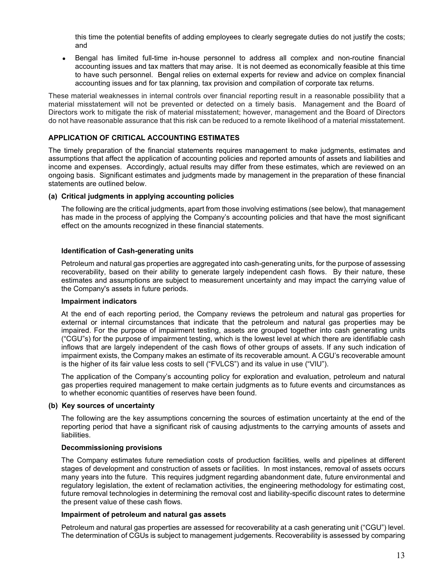this time the potential benefits of adding employees to clearly segregate duties do not justify the costs; and

• Bengal has limited full-time in-house personnel to address all complex and non-routine financial accounting issues and tax matters that may arise. It is not deemed as economically feasible at this time to have such personnel. Bengal relies on external experts for review and advice on complex financial accounting issues and for tax planning, tax provision and compilation of corporate tax returns.

These material weaknesses in internal controls over financial reporting result in a reasonable possibility that a material misstatement will not be prevented or detected on a timely basis. Management and the Board of Directors work to mitigate the risk of material misstatement; however, management and the Board of Directors do not have reasonable assurance that this risk can be reduced to a remote likelihood of a material misstatement.

## **APPLICATION OF CRITICAL ACCOUNTING ESTIMATES**

The timely preparation of the financial statements requires management to make judgments, estimates and assumptions that affect the application of accounting policies and reported amounts of assets and liabilities and income and expenses. Accordingly, actual results may differ from these estimates, which are reviewed on an ongoing basis. Significant estimates and judgments made by management in the preparation of these financial statements are outlined below.

#### **(a) Critical judgments in applying accounting policies**

The following are the critical judgments, apart from those involving estimations (see below), that management has made in the process of applying the Company's accounting policies and that have the most significant effect on the amounts recognized in these financial statements.

#### **Identification of Cash-generating units**

Petroleum and natural gas properties are aggregated into cash-generating units, for the purpose of assessing recoverability, based on their ability to generate largely independent cash flows. By their nature, these estimates and assumptions are subject to measurement uncertainty and may impact the carrying value of the Company's assets in future periods.

#### **Impairment indicators**

At the end of each reporting period, the Company reviews the petroleum and natural gas properties for external or internal circumstances that indicate that the petroleum and natural gas properties may be impaired. For the purpose of impairment testing, assets are grouped together into cash generating units ("CGU"s) for the purpose of impairment testing, which is the lowest level at which there are identifiable cash inflows that are largely independent of the cash flows of other groups of assets. If any such indication of impairment exists, the Company makes an estimate of its recoverable amount. A CGU's recoverable amount is the higher of its fair value less costs to sell ("FVLCS") and its value in use ("VIU").

The application of the Company's accounting policy for exploration and evaluation, petroleum and natural gas properties required management to make certain judgments as to future events and circumstances as to whether economic quantities of reserves have been found.

## **(b) Key sources of uncertainty**

The following are the key assumptions concerning the sources of estimation uncertainty at the end of the reporting period that have a significant risk of causing adjustments to the carrying amounts of assets and liabilities.

## **Decommissioning provisions**

The Company estimates future remediation costs of production facilities, wells and pipelines at different stages of development and construction of assets or facilities. In most instances, removal of assets occurs many years into the future. This requires judgment regarding abandonment date, future environmental and regulatory legislation, the extent of reclamation activities, the engineering methodology for estimating cost, future removal technologies in determining the removal cost and liability-specific discount rates to determine the present value of these cash flows.

#### **Impairment of petroleum and natural gas assets**

Petroleum and natural gas properties are assessed for recoverability at a cash generating unit ("CGU") level. The determination of CGUs is subject to management judgements. Recoverability is assessed by comparing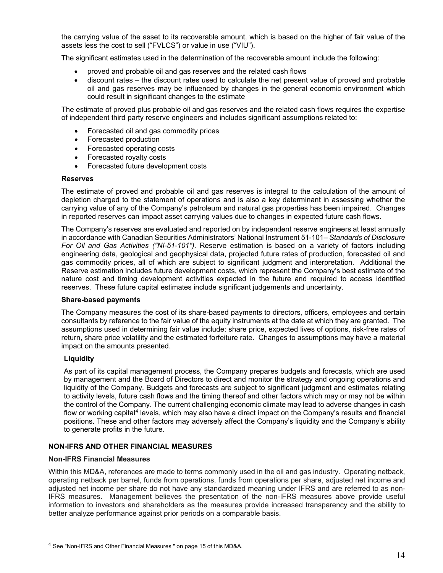the carrying value of the asset to its recoverable amount, which is based on the higher of fair value of the assets less the cost to sell ("FVLCS") or value in use ("VIU").

The significant estimates used in the determination of the recoverable amount include the following:

- proved and probable oil and gas reserves and the related cash flows
- discount rates the discount rates used to calculate the net present value of proved and probable oil and gas reserves may be influenced by changes in the general economic environment which could result in significant changes to the estimate

The estimate of proved plus probable oil and gas reserves and the related cash flows requires the expertise of independent third party reserve engineers and includes significant assumptions related to:

- Forecasted oil and gas commodity prices
- Forecasted production
- Forecasted operating costs
- Forecasted royalty costs
- Forecasted future development costs

#### **Reserves**

The estimate of proved and probable oil and gas reserves is integral to the calculation of the amount of depletion charged to the statement of operations and is also a key determinant in assessing whether the carrying value of any of the Company's petroleum and natural gas properties has been impaired. Changes in reported reserves can impact asset carrying values due to changes in expected future cash flows.

The Company's reserves are evaluated and reported on by independent reserve engineers at least annually in accordance with Canadian Securities Administrators' National Instrument 51-101– *Standards of Disclosure For Oil and Gas Activities ("NI-51-101")*. Reserve estimation is based on a variety of factors including engineering data, geological and geophysical data, projected future rates of production, forecasted oil and gas commodity prices, all of which are subject to significant judgment and interpretation. Additional the Reserve estimation includes future development costs, which represent the Company's best estimate of the nature cost and timing development activities expected in the future and required to access identified reserves. These future capital estimates include significant judgements and uncertainty.

## **Share-based payments**

The Company measures the cost of its share-based payments to directors, officers, employees and certain consultants by reference to the fair value of the equity instruments at the date at which they are granted. The assumptions used in determining fair value include: share price, expected lives of options, risk-free rates of return, share price volatility and the estimated forfeiture rate. Changes to assumptions may have a material impact on the amounts presented.

## **Liquidity**

As part of its capital management process, the Company prepares budgets and forecasts, which are used by management and the Board of Directors to direct and monitor the strategy and ongoing operations and liquidity of the Company. Budgets and forecasts are subject to significant judgment and estimates relating to activity levels, future cash flows and the timing thereof and other factors which may or may not be within the control of the Company. The current challenging economic climate may lead to adverse changes in cash flow or working capital<sup>[4](#page-48-0)</sup> levels, which may also have a direct impact on the Company's results and financial positions. These and other factors may adversely affect the Company's liquidity and the Company's ability to generate profits in the future.

## **NON-IFRS AND OTHER FINANCIAL MEASURES**

## **Non-IFRS Financial Measures**

Within this MD&A, references are made to terms commonly used in the oil and gas industry. Operating netback, operating netback per barrel, funds from operations, funds from operations per share, adjusted net income and adjusted net income per share do not have any standardized meaning under IFRS and are referred to as non-IFRS measures. Management believes the presentation of the non-IFRS measures above provide useful information to investors and shareholders as the measures provide increased transparency and the ability to better analyze performance against prior periods on a comparable basis.

<span id="page-48-0"></span> $4$  See "Non-IFRS and Other Financial Measures " on page 15 of this MD&A.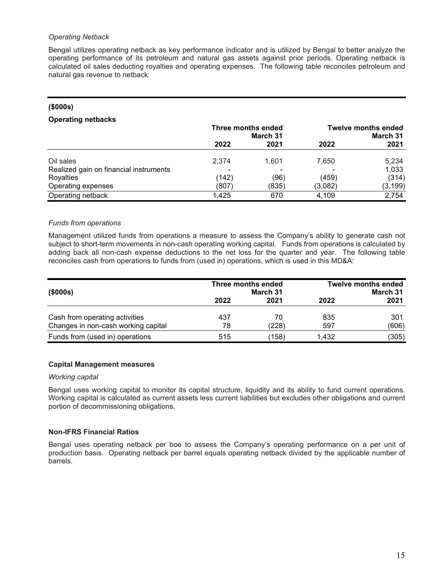## *Operating Netback*

Bengal utilizes operating netback as key performance indicator and is utilized by Bengal to better analyze the operating performance of its petroleum and natural gas assets against prior periods. Operating netback is calculated oil sales deducting royalties and operating expenses. The following table reconciles petroleum and natural gas revenue to netback:

## **(\$000s)**

## **Operating netbacks**

|                                        | Three months ended | March 31 | <b>Twelve months ended</b><br>March 31 |          |  |
|----------------------------------------|--------------------|----------|----------------------------------------|----------|--|
|                                        | 2022               | 2021     | 2022                                   | 2021     |  |
| Oil sales                              | 2,374              | 1.601    | 7,650                                  | 5,234    |  |
| Realized gain on financial instruments |                    |          |                                        | 1,033    |  |
| Royalties                              | (142)              | (96)     | (459)                                  | (314)    |  |
| Operating expenses                     | (807)              | (835)    | (3,082)                                | (3, 199) |  |
| Operating netback                      | 1.425              | 670      | 4.109                                  | 2,754    |  |

## *Funds from operations*

Management utilized funds from operations a measure to assess the Company's ability to generate cash not subject to short-term movements in non-cash operating working capital. Funds from operations is calculated by adding back all non-cash expense deductions to the net loss for the quarter and year. The following table reconciles cash from operations to funds from (used in) operations, which is used in this MD&A:

| $($ \$000s $)$                                                        |           | Three months ended<br>March 31 | <b>Twelve months ended</b><br>March 31 |              |  |
|-----------------------------------------------------------------------|-----------|--------------------------------|----------------------------------------|--------------|--|
|                                                                       | 2022      | 2021                           | 2022                                   | 2021         |  |
| Cash from operating activities<br>Changes in non-cash working capital | 437<br>78 | 70<br>(228)                    | 835<br>597                             | 301<br>(606) |  |
| Funds from (used in) operations                                       | 515       | (158)                          | 1.432                                  | (305)        |  |

## **Capital Management measures**

## *Working capital*

Bengal uses working capital to monitor its capital structure, liquidity and its ability to fund current operations. Working capital is calculated as current assets less current liabilities but excludes other obligations and current portion of decommissioning obligations.

## **Non-IFRS Financial Ratios**

Bengal uses operating netback per boe to assess the Company's operating performance on a per unit of production basis. Operating netback per barrel equals operating netback divided by the applicable number of barrels.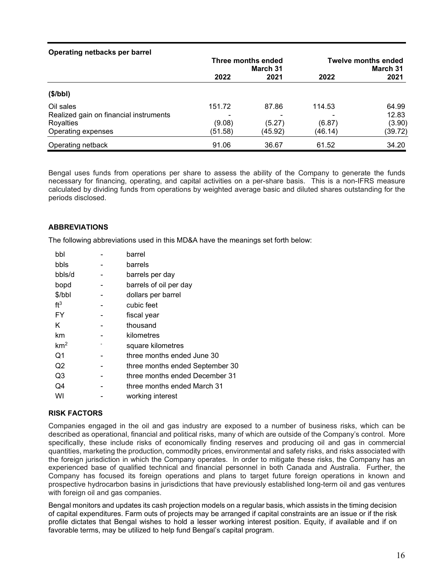## **Operating netbacks per barrel**

|                                        |         | Three months ended<br>March 31 | <b>Twelve months ended</b><br>March 31 |         |  |
|----------------------------------------|---------|--------------------------------|----------------------------------------|---------|--|
|                                        | 2022    | 2021                           | 2022                                   | 2021    |  |
| (\$/bbl)                               |         |                                |                                        |         |  |
| Oil sales                              | 151.72  | 87.86                          | 114.53                                 | 64.99   |  |
| Realized gain on financial instruments |         |                                |                                        | 12.83   |  |
| Royalties                              | (9.08)  | (5.27)                         | (6.87)                                 | (3.90)  |  |
| Operating expenses                     | (51.58) | (45.92)                        | (46.14)                                | (39.72) |  |
| Operating netback                      | 91.06   | 36.67                          | 61.52                                  | 34.20   |  |

Bengal uses funds from operations per share to assess the ability of the Company to generate the funds necessary for financing, operating, and capital activities on a per-share basis. This is a non-IFRS measure calculated by dividing funds from operations by weighted average basic and diluted shares outstanding for the periods disclosed.

## **ABBREVIATIONS**

The following abbreviations used in this MD&A have the meanings set forth below:

| bbl             | barrel                          |
|-----------------|---------------------------------|
| bbls            | barrels                         |
| bbls/d          | barrels per day                 |
| bopd            | barrels of oil per day          |
| \$/bbl          | dollars per barrel              |
| ft <sup>3</sup> | cubic feet                      |
| <b>FY</b>       | fiscal year                     |
| Κ               | thousand                        |
| km              | kilometres                      |
| km <sup>2</sup> | square kilometres               |
| Q1              | three months ended June 30      |
| Q2              | three months ended September 30 |
| Q3              | three months ended December 31  |
| Q4              | three months ended March 31     |
| WI              | working interest                |

## **RISK FACTORS**

Companies engaged in the oil and gas industry are exposed to a number of business risks, which can be described as operational, financial and political risks, many of which are outside of the Company's control. More specifically, these include risks of economically finding reserves and producing oil and gas in commercial quantities, marketing the production, commodity prices, environmental and safety risks, and risks associated with the foreign jurisdiction in which the Company operates. In order to mitigate these risks, the Company has an experienced base of qualified technical and financial personnel in both Canada and Australia. Further, the Company has focused its foreign operations and plans to target future foreign operations in known and prospective hydrocarbon basins in jurisdictions that have previously established long-term oil and gas ventures with foreign oil and gas companies.

Bengal monitors and updates its cash projection models on a regular basis, which assists in the timing decision of capital expenditures. Farm outs of projects may be arranged if capital constraints are an issue or if the risk profile dictates that Bengal wishes to hold a lesser working interest position. Equity, if available and if on favorable terms, may be utilized to help fund Bengal's capital program.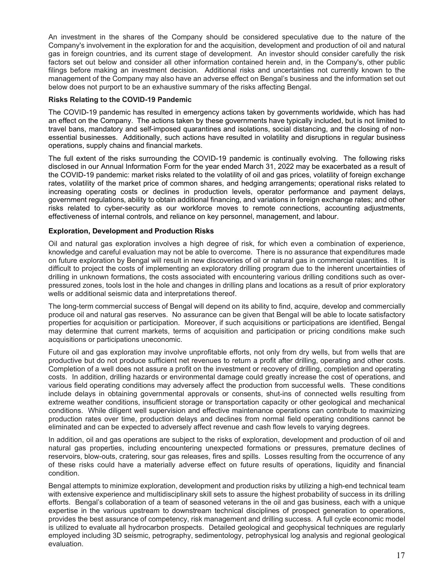An investment in the shares of the Company should be considered speculative due to the nature of the Company's involvement in the exploration for and the acquisition, development and production of oil and natural gas in foreign countries, and its current stage of development. An investor should consider carefully the risk factors set out below and consider all other information contained herein and, in the Company's, other public filings before making an investment decision. Additional risks and uncertainties not currently known to the management of the Company may also have an adverse effect on Bengal's business and the information set out below does not purport to be an exhaustive summary of the risks affecting Bengal.

## **Risks Relating to the COVID-19 Pandemic**

The COVID-19 pandemic has resulted in emergency actions taken by governments worldwide, which has had an effect on the Company. The actions taken by these governments have typically included, but is not limited to travel bans, mandatory and self-imposed quarantines and isolations, social distancing, and the closing of nonessential businesses. Additionally, such actions have resulted in volatility and disruptions in regular business operations, supply chains and financial markets.

The full extent of the risks surrounding the COVID-19 pandemic is continually evolving. The following risks disclosed in our Annual Information Form for the year ended March 31, 2022 may be exacerbated as a result of the COVID-19 pandemic: market risks related to the volatility of oil and gas prices, volatility of foreign exchange rates, volatility of the market price of common shares, and hedging arrangements; operational risks related to increasing operating costs or declines in production levels, operator performance and payment delays, government regulations, ability to obtain additional financing, and variations in foreign exchange rates; and other risks related to cyber-security as our workforce moves to remote connections, accounting adjustments, effectiveness of internal controls, and reliance on key personnel, management, and labour.

## **Exploration, Development and Production Risks**

Oil and natural gas exploration involves a high degree of risk, for which even a combination of experience, knowledge and careful evaluation may not be able to overcome. There is no assurance that expenditures made on future exploration by Bengal will result in new discoveries of oil or natural gas in commercial quantities. It is difficult to project the costs of implementing an exploratory drilling program due to the inherent uncertainties of drilling in unknown formations, the costs associated with encountering various drilling conditions such as overpressured zones, tools lost in the hole and changes in drilling plans and locations as a result of prior exploratory wells or additional seismic data and interpretations thereof.

The long-term commercial success of Bengal will depend on its ability to find, acquire, develop and commercially produce oil and natural gas reserves. No assurance can be given that Bengal will be able to locate satisfactory properties for acquisition or participation. Moreover, if such acquisitions or participations are identified, Bengal may determine that current markets, terms of acquisition and participation or pricing conditions make such acquisitions or participations uneconomic.

Future oil and gas exploration may involve unprofitable efforts, not only from dry wells, but from wells that are productive but do not produce sufficient net revenues to return a profit after drilling, operating and other costs. Completion of a well does not assure a profit on the investment or recovery of drilling, completion and operating costs. In addition, drilling hazards or environmental damage could greatly increase the cost of operations, and various field operating conditions may adversely affect the production from successful wells. These conditions include delays in obtaining governmental approvals or consents, shut-ins of connected wells resulting from extreme weather conditions, insufficient storage or transportation capacity or other geological and mechanical conditions. While diligent well supervision and effective maintenance operations can contribute to maximizing production rates over time, production delays and declines from normal field operating conditions cannot be eliminated and can be expected to adversely affect revenue and cash flow levels to varying degrees.

In addition, oil and gas operations are subject to the risks of exploration, development and production of oil and natural gas properties, including encountering unexpected formations or pressures, premature declines of reservoirs, blow-outs, cratering, sour gas releases, fires and spills. Losses resulting from the occurrence of any of these risks could have a materially adverse effect on future results of operations, liquidity and financial condition.

Bengal attempts to minimize exploration, development and production risks by utilizing a high-end technical team with extensive experience and multidisciplinary skill sets to assure the highest probability of success in its drilling efforts. Bengal's collaboration of a team of seasoned veterans in the oil and gas business, each with a unique expertise in the various upstream to downstream technical disciplines of prospect generation to operations, provides the best assurance of competency, risk management and drilling success. A full cycle economic model is utilized to evaluate all hydrocarbon prospects. Detailed geological and geophysical techniques are regularly employed including 3D seismic, petrography, sedimentology, petrophysical log analysis and regional geological evaluation.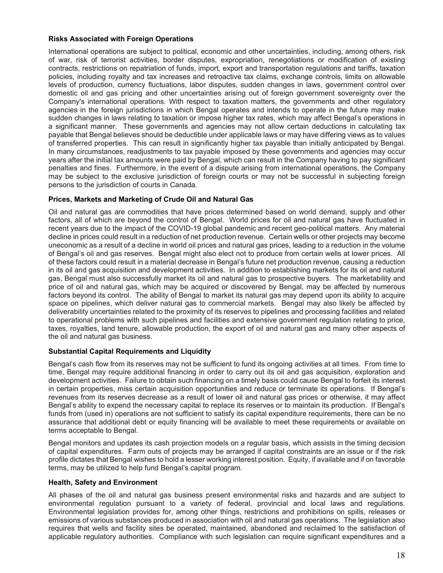## **Risks Associated with Foreign Operations**

International operations are subject to political, economic and other uncertainties, including, among others, risk of war, risk of terrorist activities, border disputes, expropriation, renegotiations or modification of existing contracts, restrictions on repatriation of funds, import, export and transportation regulations and tariffs, taxation policies, including royalty and tax increases and retroactive tax claims, exchange controls, limits on allowable levels of production, currency fluctuations, labor disputes, sudden changes in laws, government control over domestic oil and gas pricing and other uncertainties arising out of foreign government sovereignty over the Company's international operations. With respect to taxation matters, the governments and other regulatory agencies in the foreign jurisdictions in which Bengal operates and intends to operate in the future may make sudden changes in laws relating to taxation or impose higher tax rates, which may affect Bengal's operations in a significant manner. These governments and agencies may not allow certain deductions in calculating tax payable that Bengal believes should be deductible under applicable laws or may have differing views as to values of transferred properties. This can result in significantly higher tax payable than initially anticipated by Bengal. In many circumstances, readjustments to tax payable imposed by these governments and agencies may occur years after the initial tax amounts were paid by Bengal, which can result in the Company having to pay significant penalties and fines. Furthermore, in the event of a dispute arising from international operations, the Company may be subject to the exclusive jurisdiction of foreign courts or may not be successful in subjecting foreign persons to the jurisdiction of courts in Canada.

## **Prices, Markets and Marketing of Crude Oil and Natural Gas**

Oil and natural gas are commodities that have prices determined based on world demand, supply and other factors, all of which are beyond the control of Bengal. World prices for oil and natural gas have fluctuated in recent years due to the impact of the COVID-19 global pandemic and recent geo-political matters. Any material decline in prices could result in a reduction of net production revenue. Certain wells or other projects may become uneconomic as a result of a decline in world oil prices and natural gas prices, leading to a reduction in the volume of Bengal's oil and gas reserves. Bengal might also elect not to produce from certain wells at lower prices. All of these factors could result in a material decrease in Bengal's future net production revenue, causing a reduction in its oil and gas acquisition and development activities. In addition to establishing markets for its oil and natural gas, Bengal must also successfully market its oil and natural gas to prospective buyers. The marketability and price of oil and natural gas, which may be acquired or discovered by Bengal, may be affected by numerous factors beyond its control. The ability of Bengal to market its natural gas may depend upon its ability to acquire space on pipelines, which deliver natural gas to commercial markets. Bengal may also likely be affected by deliverability uncertainties related to the proximity of its reserves to pipelines and processing facilities and related to operational problems with such pipelines and facilities and extensive government regulation relating to price, taxes, royalties, land tenure, allowable production, the export of oil and natural gas and many other aspects of the oil and natural gas business.

## **Substantial Capital Requirements and Liquidity**

Bengal's cash flow from its reserves may not be sufficient to fund its ongoing activities at all times. From time to time, Bengal may require additional financing in order to carry out its oil and gas acquisition, exploration and development activities. Failure to obtain such financing on a timely basis could cause Bengal to forfeit its interest in certain properties, miss certain acquisition opportunities and reduce or terminate its operations. If Bengal's revenues from its reserves decrease as a result of lower oil and natural gas prices or otherwise, it may affect Bengal's ability to expend the necessary capital to replace its reserves or to maintain its production. If Bengal's funds from (used in) operations are not sufficient to satisfy its capital expenditure requirements, there can be no assurance that additional debt or equity financing will be available to meet these requirements or available on terms acceptable to Bengal.

Bengal monitors and updates its cash projection models on a regular basis, which assists in the timing decision of capital expenditures. Farm outs of projects may be arranged if capital constraints are an issue or if the risk profile dictates that Bengal wishes to hold a lesser working interest position. Equity, if available and if on favorable terms, may be utilized to help fund Bengal's capital program.

## **Health, Safety and Environment**

All phases of the oil and natural gas business present environmental risks and hazards and are subject to environmental regulation pursuant to a variety of federal, provincial and local laws and regulations. Environmental legislation provides for, among other things, restrictions and prohibitions on spills, releases or emissions of various substances produced in association with oil and natural gas operations. The legislation also requires that wells and facility sites be operated, maintained, abandoned and reclaimed to the satisfaction of applicable regulatory authorities. Compliance with such legislation can require significant expenditures and a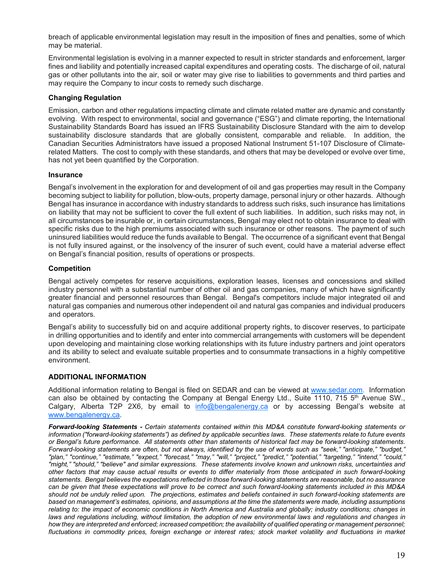breach of applicable environmental legislation may result in the imposition of fines and penalties, some of which may be material.

Environmental legislation is evolving in a manner expected to result in stricter standards and enforcement, larger fines and liability and potentially increased capital expenditures and operating costs. The discharge of oil, natural gas or other pollutants into the air, soil or water may give rise to liabilities to governments and third parties and may require the Company to incur costs to remedy such discharge.

## **Changing Regulation**

Emission, carbon and other regulations impacting climate and climate related matter are dynamic and constantly evolving. With respect to environmental, social and governance ("ESG") and climate reporting, the International Sustainability Standards Board has issued an IFRS Sustainability Disclosure Standard with the aim to develop sustainability disclosure standards that are globally consistent, comparable and reliable. In addition, the Canadian Securities Administrators have issued a proposed National Instrument 51-107 Disclosure of Climaterelated Matters. The cost to comply with these standards, and others that may be developed or evolve over time, has not yet been quantified by the Corporation.

## **Insurance**

Bengal's involvement in the exploration for and development of oil and gas properties may result in the Company becoming subject to liability for pollution, blow-outs, property damage, personal injury or other hazards. Although Bengal has insurance in accordance with industry standards to address such risks, such insurance has limitations on liability that may not be sufficient to cover the full extent of such liabilities. In addition, such risks may not, in all circumstances be insurable or, in certain circumstances, Bengal may elect not to obtain insurance to deal with specific risks due to the high premiums associated with such insurance or other reasons. The payment of such uninsured liabilities would reduce the funds available to Bengal. The occurrence of a significant event that Bengal is not fully insured against, or the insolvency of the insurer of such event, could have a material adverse effect on Bengal's financial position, results of operations or prospects.

## **Competition**

Bengal actively competes for reserve acquisitions, exploration leases, licenses and concessions and skilled industry personnel with a substantial number of other oil and gas companies, many of which have significantly greater financial and personnel resources than Bengal. Bengal's competitors include major integrated oil and natural gas companies and numerous other independent oil and natural gas companies and individual producers and operators.

Bengal's ability to successfully bid on and acquire additional property rights, to discover reserves, to participate in drilling opportunities and to identify and enter into commercial arrangements with customers will be dependent upon developing and maintaining close working relationships with its future industry partners and joint operators and its ability to select and evaluate suitable properties and to consummate transactions in a highly competitive environment.

## **ADDITIONAL INFORMATION**

Additional information relating to Bengal is filed on SEDAR and can be viewed at [www.sedar.com.](http://www.sedar.com/) Information can also be obtained by contacting the Company at Bengal Energy Ltd., Suite 1110, 715 5<sup>th</sup> Avenue SW., Calgary, Alberta T2P 2X6, by email to [info@bengalenergy.ca](mailto:info@bengalenergy.ca) or by accessing Bengal's website at [www.bengalenergy.ca.](http://www.bengalenergy.ca/)

*Forward-looking Statements - Certain statements contained within this MD&A constitute forward-looking statements or information ("forward-looking statements") as defined by applicable securities laws. These statements relate to future events or Bengal's future performance. All statements other than statements of historical fact may be forward-looking statements. Forward-looking statements are often, but not always, identified by the use of words such as "seek," "anticipate," "budget," "plan," "continue," "estimate," "expect," "forecast," "may," "will," "project," "predict," "potential," "targeting," "intend," "could," "might," "should," "believe" and similar expressions. These statements involve known and unknown risks, uncertainties and other factors that may cause actual results or events to differ materially from those anticipated in such forward-looking statements. Bengal believes the expectations reflected in those forward-looking statements are reasonable, but no assurance can be given that these expectations will prove to be correct and such forward-looking statements included in this MD&A should not be unduly relied upon. The projections, estimates and beliefs contained in such forward-looking statements are based on management's estimates, opinions, and assumptions at the time the statements were made, including assumptions relating to: the impact of economic conditions in North America and Australia and globally; industry conditions; changes in*  laws and regulations including, without limitation, the adoption of new environmental laws and regulations and changes in *how they are interpreted and enforced; increased competition; the availability of qualified operating or management personnel; fluctuations in commodity prices, foreign exchange or interest rates; stock market volatility and fluctuations in market*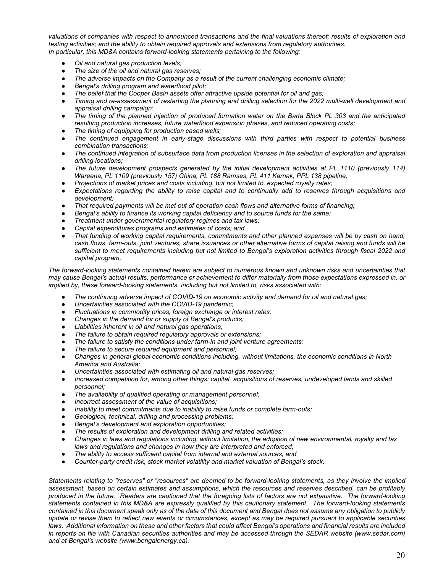valuations of companies with respect to announced transactions and the final valuations thereof; results of exploration and *testing activities; and the ability to obtain required approvals and extensions from regulatory authorities. In particular, this MD&A contains forward-looking statements pertaining to the following:* 

- *Oil and natural gas production levels;*
- *The size of the oil and natural gas reserves;*
- The adverse impacts on the Company as a result of the current challenging economic climate;
- Bengal's drilling program and waterflood pilot;
- *The belief that the Cooper Basin assets offer attractive upside potential for oil and gas;*
- *Timing and re-assessment of restarting the planning and drilling selection for the 2022 multi-well development and appraisal drilling campaign:*
- The timing of the planned injection of produced formation water on the Barta Block PL 303 and the anticipated *resulting production increases, future waterflood expansion phases, and reduced operating costs;*
- The timing of equipping for production cased wells;
- *The continued engagement in early-stage discussions with third parties with respect to potential business combination transactions;*
- The continued integration of subsurface data from production licenses in the selection of exploration and appraisal *drilling locations;*
- The future development prospects generated by the initial development activities at PL 1110 (previously 114) *Wareena, PL 1109 (previously 157) Ghina, PL 188 Ramses, PL 411 Karnak, PPL 138 pipeline;*
- *Projections of market prices and costs including, but not limited to, expected royalty rates;*
- Expectations regarding the ability to raise capital and to continually add to reserves through acquisitions and *development;*
- *That required payments will be met out of operation cash flows and alternative forms of financing;*
- Bengal's ability to finance its working capital deficiency and to source funds for the same;
- *Treatment under governmental regulatory regimes and tax laws;*
- Capital expenditures programs and estimates of costs; and
- *That funding of working capital requirements, commitments and other planned expenses will be by cash on hand, cash flows, farm-outs, joint ventures, share issuances or other alternative forms of capital raising and funds will be sufficient to meet requirements including but not limited to Bengal's exploration activities through fiscal 2022 and capital program.*

*The forward-looking statements contained herein are subject to numerous known and unknown risks and uncertainties that may cause Bengal's actual results, performance or achievement to differ materially from those expectations expressed in, or implied by, these forward-looking statements, including but not limited to, risks associated with:* 

- *The continuing adverse impact of COVID-19 on economic activity and demand for oil and natural gas;*
- *Uncertainties associated with the COVID-19 pandemic;*
- *Fluctuations in commodity prices, foreign exchange or interest rates;*
- *Changes in the demand for or supply of Bengal's products;*
- Liabilities inherent in oil and natural gas operations;
- *The failure to obtain required requlatory approvals or extensions;*
- *The failure to satisfy the conditions under farm-in and joint venture agreements;*
- The failure to secure required equipment and personnel;
- *Changes in general global economic conditions including, without limitations, the economic conditions in North America and Australia;*
- *Uncertainties associated with estimating oil and natural gas reserves;*
- *Increased competition for, among other things: capital, acquisitions of reserves, undeveloped lands and skilled personnel;*
- The availability of qualified operating or management personnel;
- *Incorrect assessment of the value of acquisitions;*
- Inability to meet commitments due to inability to raise funds or complete farm-outs;
- Geological, technical, drilling and processing problems;
- Bengal's development and exploration opportunities:
- *The results of exploration and development drilling and related activities;*
- *Changes in laws and regulations including, without limitation, the adoption of new environmental, royalty and tax laws and regulations and changes in how they are interpreted and enforced;*
- The ability to access sufficient capital from internal and external sources; and
- *Counter-party credit risk, stock market volatility and market valuation of Bengal's stock.*

*Statements relating to "reserves" or "resources" are deemed to be forward-looking statements, as they involve the implied assessment, based on certain estimates and assumptions, which the resources and reserves described, can be profitably produced in the future. Readers are cautioned that the foregoing lists of factors are not exhaustive. The forward-looking statements contained in this MD&A are expressly qualified by this cautionary statement. The forward-looking statements contained in this document speak only as of the date of this document and Bengal does not assume any obligation to publicly update or revise them to reflect new events or circumstances, except as may be required pursuant to applicable securities laws. Additional information on these and other factors that could affect Bengal's operations and financial results are included*  in reports on file with Canadian securities authorities and may be accessed through the SEDAR website (www.sedar.com) *and at Bengal's website (www.bengalenergy.ca).*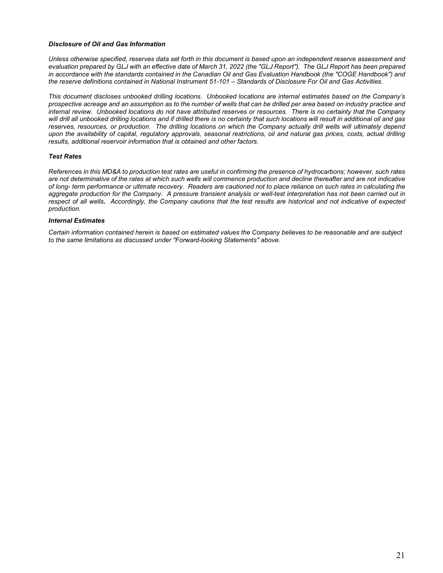#### *Disclosure of Oil and Gas Information*

*Unless otherwise specified, reserves data set forth in this document is based upon an independent reserve assessment and evaluation prepared by GLJ with an effective date of March 31, 2022 (the "GLJ Report"). The GLJ Report has been prepared*  in accordance with the standards contained in the Canadian Oil and Gas Evaluation Handbook (the "COGE Handbook") and *the reserve definitions contained in National Instrument 51-101 – Standards of Disclosure For Oil and Gas Activities.*

*This document discloses unbooked drilling locations. Unbooked locations are internal estimates based on the Company's prospective acreage and an assumption as to the number of wells that can be drilled per area based on industry practice and internal review. Unbooked locations do not have attributed reserves or resources. There is no certainty that the Company will drill all unbooked drilling locations and if drilled there is no certainty that such locations will result in additional oil and gas reserves, resources, or production. The drilling locations on which the Company actually drill wells will ultimately depend upon the availability of capital, regulatory approvals, seasonal restrictions, oil and natural gas prices, costs, actual drilling results, additional reservoir information that is obtained and other factors.*

## *Test Rates*

*References in this MD&A to production test rates are useful in confirming the presence of hydrocarbons; however, such rates are not determinative of the rates at which such wells will commence production and decline thereafter and are not indicative of long- term performance or ultimate recovery. Readers are cautioned not to place reliance on such rates in calculating the aggregate production for the Company. A pressure transient analysis or well-test interpretation has not been carried out in respect of all wells. Accordingly, the Company cautions that the test results are historical and not indicative of expected production.*

## *Internal Estimates*

*Certain information contained herein is based on estimated values the Company believes to be reasonable and are subject to the same limitations as discussed under "Forward-looking Statements" above.*